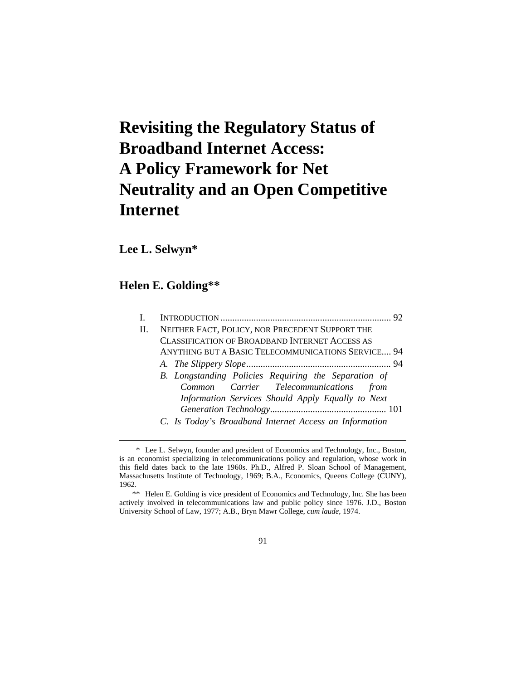# **Revisiting the Regulatory Status of Broadband Internet Access: A Policy Framework for Net Neutrality and an Open Competitive Internet**

## **Lee L. Selwyn\***

 $\overline{a}$ 

# **Helen E. Golding\*\***

| H. | NEITHER FACT, POLICY, NOR PRECEDENT SUPPORT THE        |
|----|--------------------------------------------------------|
|    | <b>CLASSIFICATION OF BROADBAND INTERNET ACCESS AS</b>  |
|    | ANYTHING BUT A BASIC TELECOMMUNICATIONS SERVICE 94     |
|    |                                                        |
|    | B. Longstanding Policies Requiring the Separation of   |
|    | Common Carrier Telecommunications from                 |
|    | Information Services Should Apply Equally to Next      |
|    |                                                        |
|    | C. Is Today's Broadband Internet Access an Information |

91

 <sup>\*</sup> Lee L. Selwyn, founder and president of Economics and Technology, Inc., Boston, is an economist specializing in telecommunications policy and regulation, whose work in this field dates back to the late 1960s. Ph.D., Alfred P. Sloan School of Management, Massachusetts Institute of Technology, 1969; B.A., Economics, Queens College (CUNY), 1962.

 <sup>\*\*</sup> Helen E. Golding is vice president of Economics and Technology, Inc. She has been actively involved in telecommunications law and public policy since 1976. J.D., Boston University School of Law, 1977; A.B., Bryn Mawr College, *cum laude*, 1974.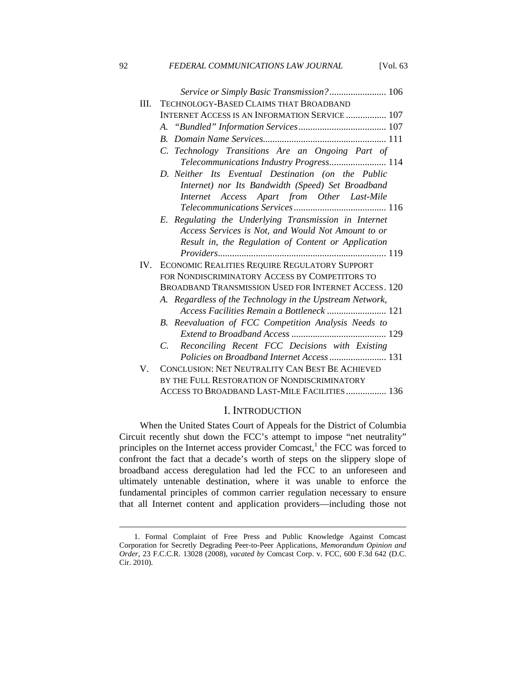| III.     | <b>TECHNOLOGY-BASED CLAIMS THAT BROADBAND</b>                 |
|----------|---------------------------------------------------------------|
|          | <b>INTERNET ACCESS IS AN INFORMATION SERVICE  107</b>         |
|          |                                                               |
|          | $R_{\cdot}$                                                   |
|          | C. Technology Transitions Are an Ongoing Part of              |
|          | Telecommunications Industry Progress 114                      |
|          | D. Neither Its Eventual Destination (on the Public            |
|          | Internet) nor Its Bandwidth (Speed) Set Broadband             |
|          | Internet Access Apart from Other Last-Mile                    |
|          |                                                               |
|          | E. Regulating the Underlying Transmission in Internet         |
|          | Access Services is Not, and Would Not Amount to or            |
|          | Result in, the Regulation of Content or Application           |
|          |                                                               |
| $IV_{-}$ | ECONOMIC REALITIES REQUIRE REGULATORY SUPPORT                 |
|          | FOR NONDISCRIMINATORY ACCESS BY COMPETITORS TO                |
|          | <b>BROADBAND TRANSMISSION USED FOR INTERNET ACCESS. 120</b>   |
|          | A. Regardless of the Technology in the Upstream Network,      |
|          | Access Facilities Remain a Bottleneck  121                    |
|          | B. Reevaluation of FCC Competition Analysis Needs to          |
|          |                                                               |
|          | Reconciling Recent FCC Decisions with Existing<br>$C_{\cdot}$ |
|          | Policies on Broadband Internet Access  131                    |
| V.       | <b>CONCLUSION: NET NEUTRALITY CAN BEST BE ACHIEVED</b>        |
|          | BY THE FULL RESTORATION OF NONDISCRIMINATORY                  |
|          | ACCESS TO BROADBAND LAST-MILE FACILITIES 136                  |

#### I. INTRODUCTION

When the United States Court of Appeals for the District of Columbia Circuit recently shut down the FCC's attempt to impose "net neutrality" principles on the Internet access provider Comcast,<sup>1</sup> the FCC was forced to confront the fact that a decade's worth of steps on the slippery slope of broadband access deregulation had led the FCC to an unforeseen and ultimately untenable destination, where it was unable to enforce the fundamental principles of common carrier regulation necessary to ensure that all Internet content and application providers—including those not

 <sup>1.</sup> Formal Complaint of Free Press and Public Knowledge Against Comcast Corporation for Secretly Degrading Peer-to-Peer Applications, *Memorandum Opinion and Order*, 23 F.C.C.R. 13028 (2008), *vacated by* Comcast Corp. v. FCC, 600 F.3d 642 (D.C. Cir. 2010).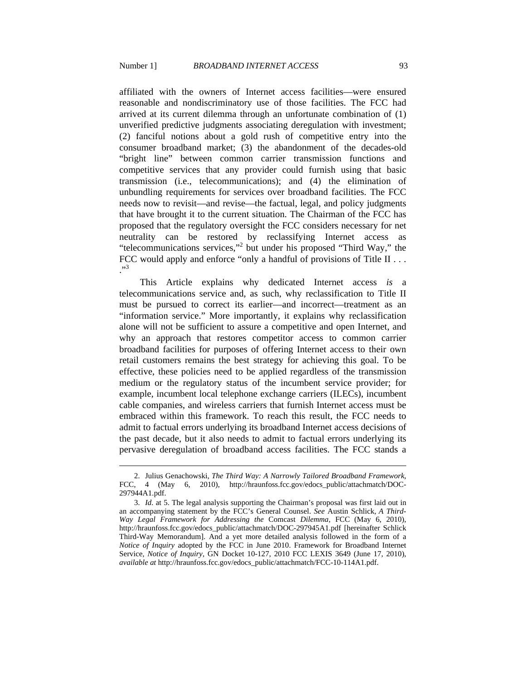affiliated with the owners of Internet access facilities—were ensured reasonable and nondiscriminatory use of those facilities. The FCC had arrived at its current dilemma through an unfortunate combination of (1) unverified predictive judgments associating deregulation with investment; (2) fanciful notions about a gold rush of competitive entry into the consumer broadband market; (3) the abandonment of the decades-old "bright line" between common carrier transmission functions and competitive services that any provider could furnish using that basic transmission (i.e., telecommunications); and (4) the elimination of unbundling requirements for services over broadband facilities. The FCC needs now to revisit—and revise—the factual, legal, and policy judgments that have brought it to the current situation. The Chairman of the FCC has proposed that the regulatory oversight the FCC considers necessary for net neutrality can be restored by reclassifying Internet access as "telecommunications services,"<sup>2</sup> but under his proposed "Third Way," the FCC would apply and enforce "only a handful of provisions of Title II . . . ."3

This Article explains why dedicated Internet access *is* a telecommunications service and, as such, why reclassification to Title II must be pursued to correct its earlier—and incorrect—treatment as an "information service." More importantly, it explains why reclassification alone will not be sufficient to assure a competitive and open Internet, and why an approach that restores competitor access to common carrier broadband facilities for purposes of offering Internet access to their own retail customers remains the best strategy for achieving this goal. To be effective, these policies need to be applied regardless of the transmission medium or the regulatory status of the incumbent service provider; for example, incumbent local telephone exchange carriers (ILECs), incumbent cable companies, and wireless carriers that furnish Internet access must be embraced within this framework. To reach this result, the FCC needs to admit to factual errors underlying its broadband Internet access decisions of the past decade, but it also needs to admit to factual errors underlying its pervasive deregulation of broadband access facilities. The FCC stands a

 <sup>2.</sup> Julius Genachowski, *The Third Way: A Narrowly Tailored Broadband Framework*, FCC, 4 (May 6, 2010), http://hraunfoss.fcc.gov/edocs\_public/attachmatch/DOC-297944A1.pdf.

 <sup>3.</sup> *Id.* at 5. The legal analysis supporting the Chairman's proposal was first laid out in an accompanying statement by the FCC's General Counsel. *See* Austin Schlick, *A Third-Way Legal Framework for Addressing the* Comcast *Dilemma*, FCC (May 6, 2010), http://hraunfoss.fcc.gov/edocs\_public/attachmatch/DOC-297945A1.pdf [hereinafter Schlick Third-Way Memorandum]. And a yet more detailed analysis followed in the form of a *Notice of Inquiry* adopted by the FCC in June 2010. Framework for Broadband Internet Service, *Notice of Inquiry*, GN Docket 10-127, 2010 FCC LEXIS 3649 (June 17, 2010), *available at* http://hraunfoss.fcc.gov/edocs\_public/attachmatch/FCC-10-114A1.pdf.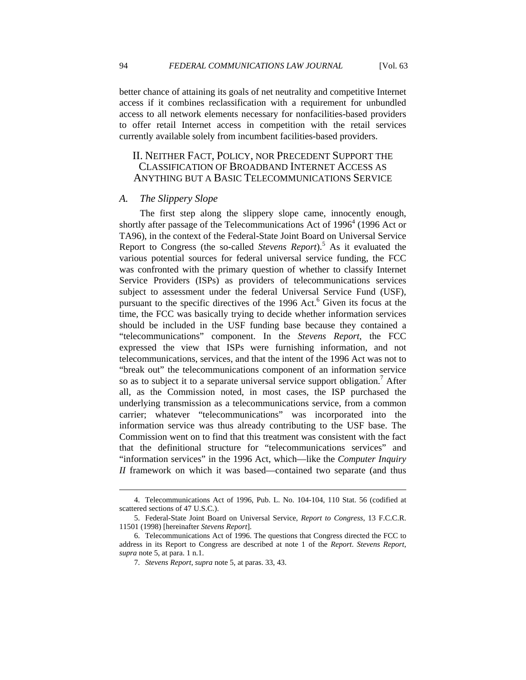better chance of attaining its goals of net neutrality and competitive Internet access if it combines reclassification with a requirement for unbundled access to all network elements necessary for nonfacilities-based providers to offer retail Internet access in competition with the retail services currently available solely from incumbent facilities-based providers.

## II. NEITHER FACT, POLICY, NOR PRECEDENT SUPPORT THE CLASSIFICATION OF BROADBAND INTERNET ACCESS AS ANYTHING BUT A BASIC TELECOMMUNICATIONS SERVICE

#### *A. The Slippery Slope*

The first step along the slippery slope came, innocently enough, shortly after passage of the Telecommunications Act of 1996<sup>4</sup> (1996 Act or TA96), in the context of the Federal-State Joint Board on Universal Service Report to Congress (the so-called *Stevens Report*).<sup>5</sup> As it evaluated the various potential sources for federal universal service funding, the FCC was confronted with the primary question of whether to classify Internet Service Providers (ISPs) as providers of telecommunications services subject to assessment under the federal Universal Service Fund (USF), pursuant to the specific directives of the 1996 Act.<sup>6</sup> Given its focus at the time, the FCC was basically trying to decide whether information services should be included in the USF funding base because they contained a "telecommunications" component. In the *Stevens Report*, the FCC expressed the view that ISPs were furnishing information, and not telecommunications, services, and that the intent of the 1996 Act was not to "break out" the telecommunications component of an information service so as to subject it to a separate universal service support obligation.<sup>7</sup> After all, as the Commission noted, in most cases, the ISP purchased the underlying transmission as a telecommunications service, from a common carrier; whatever "telecommunications" was incorporated into the information service was thus already contributing to the USF base. The Commission went on to find that this treatment was consistent with the fact that the definitional structure for "telecommunications services" and "information services" in the 1996 Act, which—like the *Computer Inquiry II* framework on which it was based—contained two separate (and thus

 <sup>4.</sup> Telecommunications Act of 1996, Pub. L. No. 104-104, 110 Stat. 56 (codified at scattered sections of 47 U.S.C.).

 <sup>5.</sup> Federal-State Joint Board on Universal Service, *Report to Congress*, 13 F.C.C.R. 11501 (1998) [hereinafter *Stevens Report*].

 <sup>6.</sup> Telecommunications Act of 1996. The questions that Congress directed the FCC to address in its Report to Congress are described at note 1 of the *Report*. *Stevens Report*, *supra* note 5, at para. 1 n.1.

 <sup>7.</sup> *Stevens Report*, *supra* note 5, at paras. 33, 43.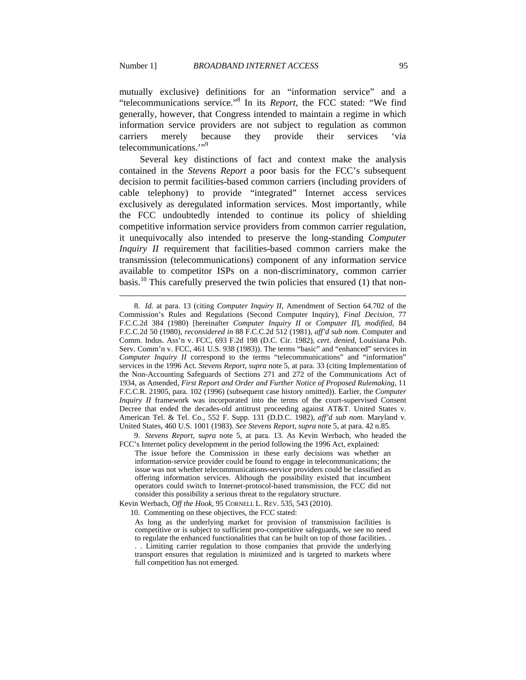mutually exclusive) definitions for an "information service" and a "telecommunications service."<sup>8</sup> In its *Report*, the FCC stated: "We find generally, however, that Congress intended to maintain a regime in which information service providers are not subject to regulation as common carriers merely because they provide their services 'via telecommunications."<sup>9</sup>

Several key distinctions of fact and context make the analysis contained in the *Stevens Report* a poor basis for the FCC's subsequent decision to permit facilities-based common carriers (including providers of cable telephony) to provide "integrated" Internet access services exclusively as deregulated information services. Most importantly, while the FCC undoubtedly intended to continue its policy of shielding competitive information service providers from common carrier regulation, it unequivocally also intended to preserve the long-standing *Computer Inquiry II* requirement that facilities-based common carriers make the transmission (telecommunications) component of any information service available to competitor ISPs on a non-discriminatory, common carrier basis.<sup>10</sup> This carefully preserved the twin policies that ensured (1) that non-

 9. *Stevens Report, supra* note 5, at para. 13. As Kevin Werbach, who headed the FCC's Internet policy development in the period following the 1996 Act, explained:

Kevin Werbach, *Off the Hook*, 95 CORNELL L. REV. 535, 543 (2010).

10. Commenting on these objectives, the FCC stated:

 <sup>8.</sup> *Id.* at para. 13 (citing *Computer Inquiry II*, Amendment of Section 64.702 of the Commission's Rules and Regulations (Second Computer Inquiry)*, Final Decision*, 77 F.C.C.2d 384 (1980) [hereinafter *Computer Inquiry II* or *Computer II*], *modified*, 84 F.C.C.2d 50 (1980), *reconsidered in* 88 F.C.C.2d 512 (1981), *aff'd sub nom.* Computer and Comm. Indus. Ass'n v. FCC, 693 F.2d 198 (D.C. Cir. 1982), *cert. denied*, Louisiana Pub. Serv. Comm'n v. FCC, 461 U.S. 938 (1983)). The terms "basic" and "enhanced" services in *Computer Inquiry II* correspond to the terms "telecommunications" and "information" services in the 1996 Act. *Stevens Report*, *supra* note 5, at para. 33 (citing Implementation of the Non-Accounting Safeguards of Sections 271 and 272 of the Communications Act of 1934, as Amended, *First Report and Order and Further Notice of Proposed Rulemaking*, 11 F.C.C.R. 21905, para. 102 (1996) (subsequent case history omitted)). Earlier, the *Computer Inquiry II* framework was incorporated into the terms of the court-supervised Consent Decree that ended the decades-old antitrust proceeding against AT&T. United States v. American Tel. & Tel. Co., 552 F. Supp. 131 (D.D.C. 1982), *aff'd sub nom.* Maryland v. United States, 460 U.S. 1001 (1983). *See Stevens Report*, *supra* note 5, at para. 42 n.85.

The issue before the Commission in these early decisions was whether an information-service provider could be found to engage in telecommunications; the issue was not whether telecommunications-service providers could be classified as offering information services. Although the possibility existed that incumbent operators could switch to Internet-protocol-based transmission, the FCC did not consider this possibility a serious threat to the regulatory structure.

As long as the underlying market for provision of transmission facilities is competitive or is subject to sufficient pro-competitive safeguards, we see no need to regulate the enhanced functionalities that can be built on top of those facilities. .

<sup>. .</sup> Limiting carrier regulation to those companies that provide the underlying transport ensures that regulation is minimized and is targeted to markets where full competition has not emerged.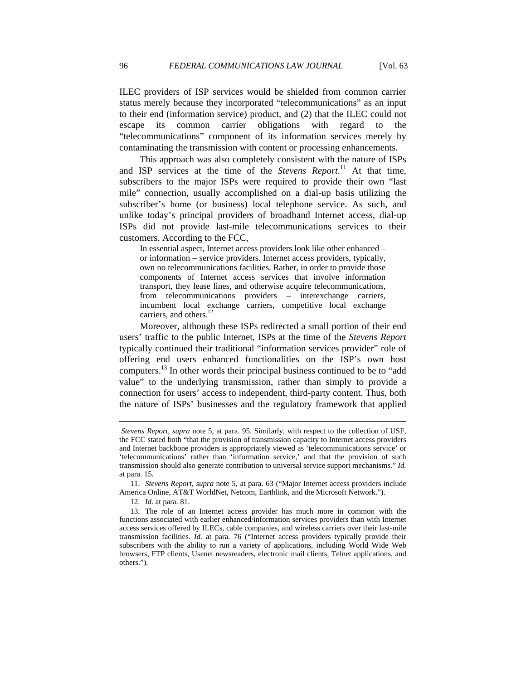ILEC providers of ISP services would be shielded from common carrier status merely because they incorporated "telecommunications" as an input to their end (information service) product, and (2) that the ILEC could not escape its common carrier obligations with regard to the "telecommunications" component of its information services merely by contaminating the transmission with content or processing enhancements.

This approach was also completely consistent with the nature of ISPs and ISP services at the time of the *Stevens Report*. 11 At that time, subscribers to the major ISPs were required to provide their own "last mile" connection, usually accomplished on a dial-up basis utilizing the subscriber's home (or business) local telephone service. As such, and unlike today's principal providers of broadband Internet access, dial-up ISPs did not provide last-mile telecommunications services to their customers. According to the FCC,

In essential aspect, Internet access providers look like other enhanced – or information – service providers. Internet access providers, typically, own no telecommunications facilities. Rather, in order to provide those components of Internet access services that involve information transport, they lease lines, and otherwise acquire telecommunications, from telecommunications providers – interexchange carriers, incumbent local exchange carriers, competitive local exchange carriers, and others.<sup>12</sup>

Moreover, although these ISPs redirected a small portion of their end users' traffic to the public Internet, ISPs at the time of the *Stevens Report* typically continued their traditional "information services provider" role of offering end users enhanced functionalities on the ISP's own host computers.<sup>13</sup> In other words their principal business continued to be to "add" value" to the underlying transmission, rather than simply to provide a connection for users' access to independent, third-party content. Thus, both the nature of ISPs' businesses and the regulatory framework that applied

12. *Id.* at para. 81.

*Stevens Report*, *supra* note 5, at para. 95. Similarly, with respect to the collection of USF, the FCC stated both "that the provision of transmission capacity to Internet access providers and Internet backbone providers is appropriately viewed as 'telecommunications service' or 'telecommunications' rather than 'information service,' and that the provision of such transmission should also generate contribution to universal service support mechanisms." *Id.* at para. 15.

 <sup>11.</sup> *Stevens Report*, *supra* note 5, at para. 63 ("Major Internet access providers include America Online, AT&T WorldNet, Netcom, Earthlink, and the Microsoft Network.").

 <sup>13.</sup> The role of an Internet access provider has much more in common with the functions associated with earlier enhanced/information services providers than with Internet access services offered by ILECs, cable companies, and wireless carriers over their last-mile transmission facilities. *Id.* at para. 76 ("Internet access providers typically provide their subscribers with the ability to run a variety of applications, including World Wide Web browsers, FTP clients, Usenet newsreaders, electronic mail clients, Telnet applications, and others.").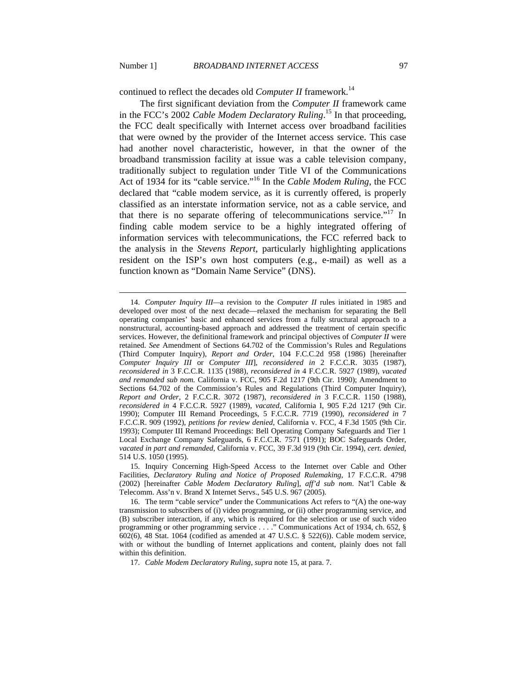continued to reflect the decades old *Computer II* framework.<sup>14</sup>

The first significant deviation from the *Computer II* framework came in the FCC's 2002 *Cable Modem Declaratory Ruling*. 15 In that proceeding, the FCC dealt specifically with Internet access over broadband facilities that were owned by the provider of the Internet access service. This case had another novel characteristic, however, in that the owner of the broadband transmission facility at issue was a cable television company, traditionally subject to regulation under Title VI of the Communications Act of 1934 for its "cable service."16 In the *Cable Modem Ruling*, the FCC declared that "cable modem service, as it is currently offered, is properly classified as an interstate information service, not as a cable service, and that there is no separate offering of telecommunications service."<sup>17</sup> In finding cable modem service to be a highly integrated offering of information services with telecommunications, the FCC referred back to the analysis in the *Stevens Report*, particularly highlighting applications resident on the ISP's own host computers (e.g., e-mail) as well as a function known as "Domain Name Service" (DNS).

 <sup>14.</sup> *Computer Inquiry III—*a revision to the *Computer II* rules initiated in 1985 and developed over most of the next decade—relaxed the mechanism for separating the Bell operating companies' basic and enhanced services from a fully structural approach to a nonstructural, accounting-based approach and addressed the treatment of certain specific services. However, the definitional framework and principal objectives of *Computer II* were retained. *See* Amendment of Sections 64.702 of the Commission's Rules and Regulations (Third Computer Inquiry), *Report and Order*, 104 F.C.C.2d 958 (1986) [hereinafter *Computer Inquiry III* or *Computer III*], *reconsidered in* 2 F.C.C.R. 3035 (1987), *reconsidered in* 3 F.C.C.R. 1135 (1988), *reconsidered in* 4 F.C.C.R. 5927 (1989), *vacated and remanded sub nom.* California v. FCC, 905 F.2d 1217 (9th Cir. 1990); Amendment to Sections 64.702 of the Commission's Rules and Regulations (Third Computer Inquiry), *Report and Order*, 2 F.C.C.R. 3072 (1987), *reconsidered in* 3 F.C.C.R. 1150 (1988), *reconsidered in* 4 F.C.C.R. 5927 (1989), *vacated*, California I, 905 F.2d 1217 (9th Cir. 1990); Computer III Remand Proceedings, 5 F.C.C.R. 7719 (1990), *reconsidered in* 7 F.C.C.R. 909 (1992), *petitions for review denied*, California v. FCC, 4 F.3d 1505 (9th Cir. 1993); Computer III Remand Proceedings: Bell Operating Company Safeguards and Tier 1 Local Exchange Company Safeguards, 6 F.C.C.R. 7571 (1991); BOC Safeguards Order, *vacated in part and remanded*, California v. FCC, 39 F.3d 919 (9th Cir. 1994), *cert. denied*, 514 U.S. 1050 (1995).

 <sup>15.</sup> Inquiry Concerning High-Speed Access to the Internet over Cable and Other Facilities, *Declaratory Ruling and Notice of Proposed Rulemaking*, 17 F.C.C.R. 4798 (2002) [hereinafter *Cable Modem Declaratory Ruling*], *aff'd sub nom*. Nat'l Cable & Telecomm. Ass'n v. Brand X Internet Servs., 545 U.S. 967 (2005).

 <sup>16.</sup> The term "cable service" under the Communications Act refers to "(A) the one-way transmission to subscribers of (i) video programming, or (ii) other programming service, and (B) subscriber interaction, if any, which is required for the selection or use of such video programming or other programming service . . . ." Communications Act of 1934, ch. 652, §  $602(6)$ , 48 Stat. 1064 (codified as amended at 47 U.S.C. § 522(6)). Cable modem service, with or without the bundling of Internet applications and content, plainly does not fall within this definition.

 <sup>17.</sup> *Cable Modem Declaratory Ruling*, *supra* note 15, at para. 7.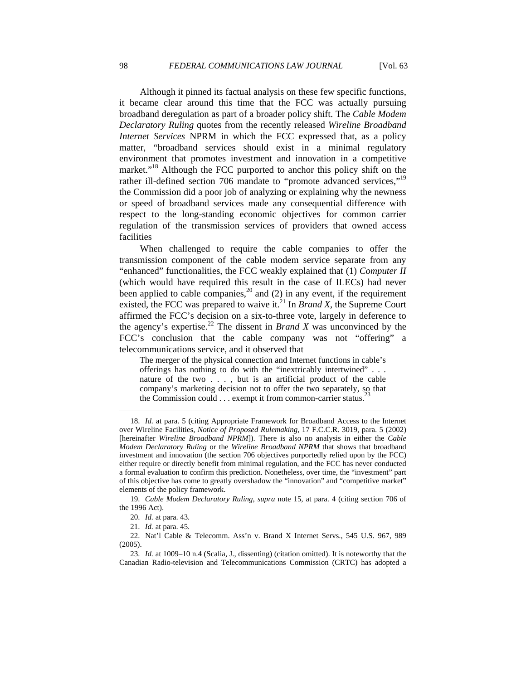Although it pinned its factual analysis on these few specific functions, it became clear around this time that the FCC was actually pursuing broadband deregulation as part of a broader policy shift. The *Cable Modem Declaratory Ruling* quotes from the recently released *Wireline Broadband Internet Services* NPRM in which the FCC expressed that, as a policy matter, "broadband services should exist in a minimal regulatory environment that promotes investment and innovation in a competitive market."<sup>18</sup> Although the FCC purported to anchor this policy shift on the rather ill-defined section 706 mandate to "promote advanced services."<sup>19</sup> the Commission did a poor job of analyzing or explaining why the newness or speed of broadband services made any consequential difference with respect to the long-standing economic objectives for common carrier regulation of the transmission services of providers that owned access facilities

When challenged to require the cable companies to offer the transmission component of the cable modem service separate from any "enhanced" functionalities, the FCC weakly explained that (1) *Computer II* (which would have required this result in the case of ILECs) had never been applied to cable companies,<sup>20</sup> and (2) in any event, if the requirement existed, the FCC was prepared to waive it.<sup>21</sup> In *Brand X*, the Supreme Court affirmed the FCC's decision on a six-to-three vote, largely in deference to the agency's expertise.<sup>22</sup> The dissent in *Brand X* was unconvinced by the FCC's conclusion that the cable company was not "offering" a telecommunications service, and it observed that

The merger of the physical connection and Internet functions in cable's offerings has nothing to do with the "inextricably intertwined" . . . nature of the two . . . , but is an artificial product of the cable company's marketing decision not to offer the two separately, so that the Commission could . . . exempt it from common-carrier status.<sup>2</sup>

 19. *Cable Modem Declaratory Ruling*, *supra* note 15, at para. 4 (citing section 706 of the 1996 Act).

 $\overline{a}$ 

 22. Nat'l Cable & Telecomm. Ass'n v. Brand X Internet Servs., 545 U.S. 967, 989 (2005).

 <sup>18.</sup> *Id.* at para. 5 (citing Appropriate Framework for Broadband Access to the Internet over Wireline Facilities, *Notice of Proposed Rulemaking*, 17 F.C.C.R. 3019, para. 5 (2002) [hereinafter *Wireline Broadband NPRM*]). There is also no analysis in either the *Cable Modem Declaratory Ruling* or the *Wireline Broadband NPRM* that shows that broadband investment and innovation (the section 706 objectives purportedly relied upon by the FCC) either require or directly benefit from minimal regulation, and the FCC has never conducted a formal evaluation to confirm this prediction. Nonetheless, over time, the "investment" part of this objective has come to greatly overshadow the "innovation" and "competitive market" elements of the policy framework.

 <sup>20.</sup> *Id.* at para. 43.

 <sup>21.</sup> *Id.* at para. 45.

 <sup>23.</sup> *Id.* at 1009–10 n.4 (Scalia, J., dissenting) (citation omitted). It is noteworthy that the Canadian Radio-television and Telecommunications Commission (CRTC) has adopted a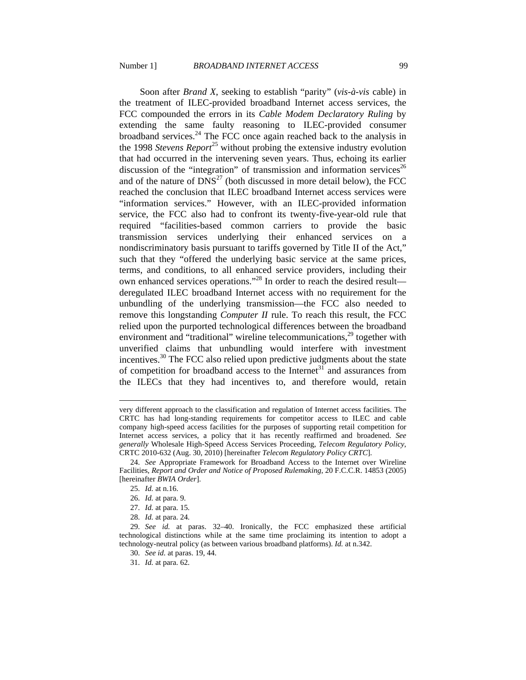Soon after *Brand X*, seeking to establish "parity" (*vis-à-vis* cable) in the treatment of ILEC-provided broadband Internet access services, the FCC compounded the errors in its *Cable Modem Declaratory Ruling* by extending the same faulty reasoning to ILEC-provided consumer broadband services. $24$  The FCC once again reached back to the analysis in the 1998 *Stevens Report*<sup>25</sup> without probing the extensive industry evolution that had occurred in the intervening seven years. Thus, echoing its earlier discussion of the "integration" of transmission and information services<sup>26</sup> and of the nature of  $DNS^{27}$  (both discussed in more detail below), the FCC reached the conclusion that ILEC broadband Internet access services were "information services." However, with an ILEC-provided information service, the FCC also had to confront its twenty-five-year-old rule that required "facilities-based common carriers to provide the basic transmission services underlying their enhanced services on a nondiscriminatory basis pursuant to tariffs governed by Title II of the Act," such that they "offered the underlying basic service at the same prices, terms, and conditions, to all enhanced service providers, including their own enhanced services operations."28 In order to reach the desired result deregulated ILEC broadband Internet access with no requirement for the unbundling of the underlying transmission—the FCC also needed to remove this longstanding *Computer II* rule. To reach this result, the FCC relied upon the purported technological differences between the broadband environment and "traditional" wireline telecommunications, $^{29}$  together with unverified claims that unbundling would interfere with investment incentives.<sup>30</sup> The FCC also relied upon predictive judgments about the state of competition for broadband access to the Internet<sup>31</sup> and assurances from the ILECs that they had incentives to, and therefore would, retain

 $\overline{a}$ 

28. *Id.* at para. 24.

very different approach to the classification and regulation of Internet access facilities. The CRTC has had long-standing requirements for competitor access to ILEC and cable company high-speed access facilities for the purposes of supporting retail competition for Internet access services, a policy that it has recently reaffirmed and broadened. *See generally* Wholesale High-Speed Access Services Proceeding, *Telecom Regulatory Policy*, CRTC 2010-632 (Aug. 30, 2010) [hereinafter *Telecom Regulatory Policy CRTC*].

 <sup>24.</sup> *See* Appropriate Framework for Broadband Access to the Internet over Wireline Facilities, *Report and Order and Notice of Proposed Rulemaking*, 20 F.C.C.R. 14853 (2005) [hereinafter *BWIA Order*].

 <sup>25.</sup> *Id.* at n.16.

 <sup>26.</sup> *Id.* at para. 9.

 <sup>27.</sup> *Id.* at para. 15.

 <sup>29.</sup> *See id.* at paras. 32–40. Ironically, the FCC emphasized these artificial technological distinctions while at the same time proclaiming its intention to adopt a technology-neutral policy (as between various broadband platforms). *Id.* at n.342.

 <sup>30.</sup> *See id.* at paras. 19, 44.

 <sup>31.</sup> *Id.* at para. 62.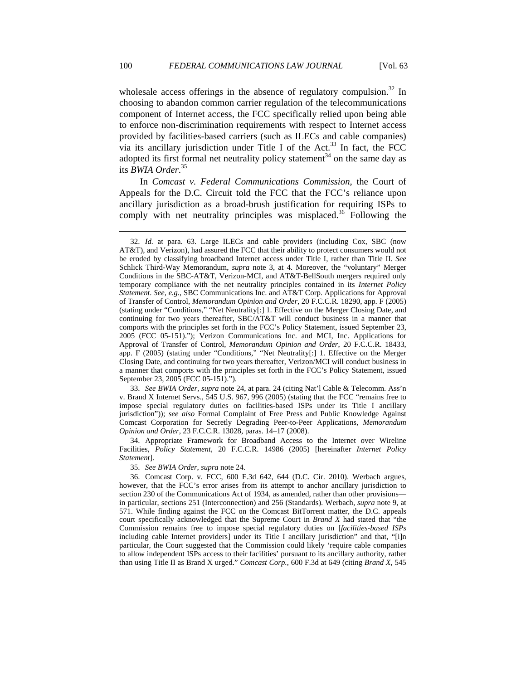wholesale access offerings in the absence of regulatory compulsion.<sup>32</sup> In choosing to abandon common carrier regulation of the telecommunications component of Internet access, the FCC specifically relied upon being able to enforce non-discrimination requirements with respect to Internet access provided by facilities-based carriers (such as ILECs and cable companies) via its ancillary jurisdiction under Title I of the Act.<sup>33</sup> In fact, the FCC adopted its first formal net neutrality policy statement<sup>34</sup> on the same day as its *BWIA Order*. 35

In *Comcast v. Federal Communications Commission*, the Court of Appeals for the D.C. Circuit told the FCC that the FCC's reliance upon ancillary jurisdiction as a broad-brush justification for requiring ISPs to comply with net neutrality principles was misplaced.<sup>36</sup> Following the

 33. *See BWIA Order*, *supra* note 24, at para. 24 (citing Nat'l Cable & Telecomm. Ass'n v. Brand X Internet Servs., 545 U.S. 967, 996 (2005) (stating that the FCC "remains free to impose special regulatory duties on facilities-based ISPs under its Title I ancillary jurisdiction")); *see also* Formal Complaint of Free Press and Public Knowledge Against Comcast Corporation for Secretly Degrading Peer-to-Peer Applications, *Memorandum Opinion and Order*, 23 F.C.C.R. 13028, paras. 14–17 (2008).

 34. Appropriate Framework for Broadband Access to the Internet over Wireline Facilities, *Policy Statement*, 20 F.C.C.R. 14986 (2005) [hereinafter *Internet Policy Statement*].

35. *See BWIA Order*, *supra* note 24.

 <sup>32.</sup> *Id.* at para. 63. Large ILECs and cable providers (including Cox, SBC (now AT&T), and Verizon), had assured the FCC that their ability to protect consumers would not be eroded by classifying broadband Internet access under Title I, rather than Title II. *See*  Schlick Third-Way Memorandum, *supra* note 3, at 4. Moreover, the "voluntary" Merger Conditions in the SBC-AT&T, Verizon-MCI, and AT&T-BellSouth mergers required only temporary compliance with the net neutrality principles contained in its *Internet Policy Statement*. *See, e.g.*, SBC Communications Inc. and AT&T Corp. Applications for Approval of Transfer of Control, *Memorandum Opinion and Order*, 20 F.C.C.R. 18290, app. F (2005) (stating under "Conditions," "Net Neutrality[:] 1. Effective on the Merger Closing Date, and continuing for two years thereafter, SBC/AT&T will conduct business in a manner that comports with the principles set forth in the FCC's Policy Statement, issued September 23, 2005 (FCC 05-151)."); Verizon Communications Inc. and MCI, Inc. Applications for Approval of Transfer of Control, *Memorandum Opinion and Order*, 20 F.C.C.R. 18433, app. F (2005) (stating under "Conditions," "Net Neutrality[:] 1. Effective on the Merger Closing Date, and continuing for two years thereafter, Verizon/MCI will conduct business in a manner that comports with the principles set forth in the FCC's Policy Statement, issued September 23, 2005 (FCC 05-151).").

 <sup>36.</sup> Comcast Corp. v. FCC, 600 F.3d 642, 644 (D.C. Cir. 2010). Werbach argues, however, that the FCC's error arises from its attempt to anchor ancillary jurisdiction to section 230 of the Communications Act of 1934, as amended, rather than other provisions in particular, sections 251 (Interconnection) and 256 (Standards). Werbach, *supra* note 9, at 571. While finding against the FCC on the Comcast BitTorrent matter, the D.C. appeals court specifically acknowledged that the Supreme Court in *Brand X* had stated that "the Commission remains free to impose special regulatory duties on [*facilities-based ISPs* including cable Internet providers] under its Title I ancillary jurisdiction" and that, "[i]n particular, the Court suggested that the Commission could likely 'require cable companies to allow independent ISPs access to their facilities' pursuant to its ancillary authority, rather than using Title II as Brand X urged." *Comcast Corp.*, 600 F.3d at 649 (citing *Brand X*, 545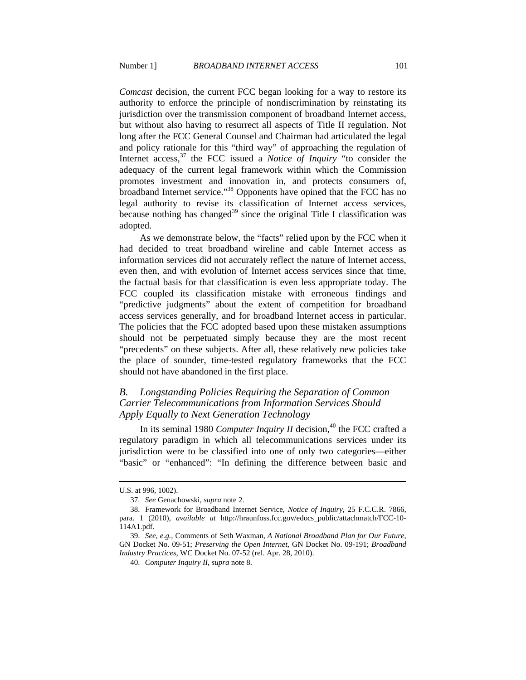*Comcast* decision, the current FCC began looking for a way to restore its authority to enforce the principle of nondiscrimination by reinstating its jurisdiction over the transmission component of broadband Internet access, but without also having to resurrect all aspects of Title II regulation. Not long after the FCC General Counsel and Chairman had articulated the legal and policy rationale for this "third way" of approaching the regulation of Internet access,<sup>37</sup> the FCC issued a *Notice of Inquiry* "to consider the adequacy of the current legal framework within which the Commission promotes investment and innovation in, and protects consumers of, broadband Internet service."<sup>38</sup> Opponents have opined that the FCC has no legal authority to revise its classification of Internet access services, because nothing has changed<sup>39</sup> since the original Title I classification was adopted.

As we demonstrate below, the "facts" relied upon by the FCC when it had decided to treat broadband wireline and cable Internet access as information services did not accurately reflect the nature of Internet access, even then, and with evolution of Internet access services since that time, the factual basis for that classification is even less appropriate today. The FCC coupled its classification mistake with erroneous findings and "predictive judgments" about the extent of competition for broadband access services generally, and for broadband Internet access in particular. The policies that the FCC adopted based upon these mistaken assumptions should not be perpetuated simply because they are the most recent "precedents" on these subjects. After all, these relatively new policies take the place of sounder, time-tested regulatory frameworks that the FCC should not have abandoned in the first place.

## *B. Longstanding Policies Requiring the Separation of Common Carrier Telecommunications from Information Services Should Apply Equally to Next Generation Technology*

In its seminal 1980 *Computer Inquiry II* decision,<sup>40</sup> the FCC crafted a regulatory paradigm in which all telecommunications services under its jurisdiction were to be classified into one of only two categories—either "basic" or "enhanced": "In defining the difference between basic and

U.S. at 996, 1002).

 <sup>37.</sup> *See* Genachowski, *supra* note 2.

 <sup>38.</sup> Framework for Broadband Internet Service, *Notice of Inquiry*, 25 F.C.C.R. 7866, para. 1 (2010), *available at* http://hraunfoss.fcc.gov/edocs\_public/attachmatch/FCC-10- 114A1.pdf.

 <sup>39.</sup> *See, e.g.*, Comments of Seth Waxman, *A National Broadband Plan for Our Future*, GN Docket No. 09-51; *Preserving the Open Internet*, GN Docket No. 09-191; *Broadband Industry Practices*, WC Docket No. 07-52 (rel. Apr. 28, 2010).

 <sup>40.</sup> *Computer Inquiry II*, *supra* note 8.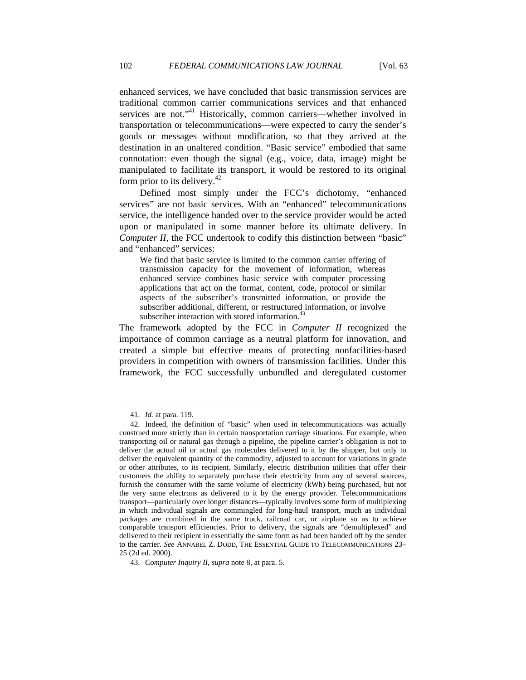enhanced services, we have concluded that basic transmission services are traditional common carrier communications services and that enhanced services are not."<sup>41</sup> Historically, common carriers—whether involved in transportation or telecommunications—were expected to carry the sender's goods or messages without modification, so that they arrived at the destination in an unaltered condition. "Basic service" embodied that same connotation: even though the signal (e.g., voice, data, image) might be manipulated to facilitate its transport, it would be restored to its original form prior to its delivery. $42$ 

Defined most simply under the FCC's dichotomy, "enhanced services" are not basic services. With an "enhanced" telecommunications service, the intelligence handed over to the service provider would be acted upon or manipulated in some manner before its ultimate delivery. In *Computer II*, the FCC undertook to codify this distinction between "basic" and "enhanced" services:

We find that basic service is limited to the common carrier offering of transmission capacity for the movement of information, whereas enhanced service combines basic service with computer processing applications that act on the format, content, code, protocol or similar aspects of the subscriber's transmitted information, or provide the subscriber additional, different, or restructured information, or involve subscriber interaction with stored information.<sup>43</sup>

The framework adopted by the FCC in *Computer II* recognized the importance of common carriage as a neutral platform for innovation, and created a simple but effective means of protecting nonfacilities-based providers in competition with owners of transmission facilities. Under this framework, the FCC successfully unbundled and deregulated customer

 <sup>41.</sup> *Id.* at para. 119.

 <sup>42.</sup> Indeed, the definition of "basic" when used in telecommunications was actually construed more strictly than in certain transportation carriage situations. For example, when transporting oil or natural gas through a pipeline, the pipeline carrier's obligation is not to deliver the actual oil or actual gas molecules delivered to it by the shipper, but only to deliver the equivalent quantity of the commodity, adjusted to account for variations in grade or other attributes, to its recipient. Similarly, electric distribution utilities that offer their customers the ability to separately purchase their electricity from any of several sources, furnish the consumer with the same volume of electricity (kWh) being purchased, but not the very same electrons as delivered to it by the energy provider. Telecommunications transport—particularly over longer distances—typically involves some form of multiplexing in which individual signals are commingled for long-haul transport, much as individual packages are combined in the same truck, railroad car, or airplane so as to achieve comparable transport efficiencies. Prior to delivery, the signals are "demultiplexed" and delivered to their recipient in essentially the same form as had been handed off by the sender to the carrier. *See* ANNABEL Z. DODD, THE ESSENTIAL GUIDE TO TELECOMMUNICATIONS 23– 25 (2d ed. 2000).

 <sup>43.</sup> *Computer Inquiry II*, *supra* note 8, at para. 5.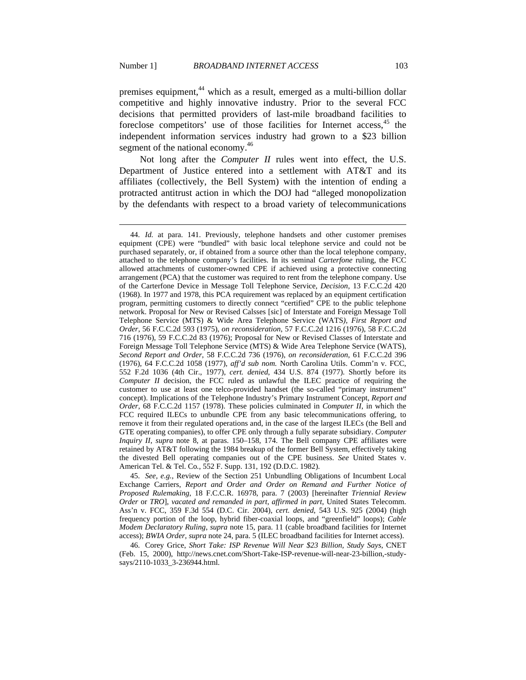premises equipment,<sup>44</sup> which as a result, emerged as a multi-billion dollar competitive and highly innovative industry. Prior to the several FCC decisions that permitted providers of last-mile broadband facilities to foreclose competitors' use of those facilities for Internet access,<sup>45</sup> the independent information services industry had grown to a \$23 billion segment of the national economy.<sup>46</sup>

Not long after the *Computer II* rules went into effect, the U.S. Department of Justice entered into a settlement with AT&T and its affiliates (collectively, the Bell System) with the intention of ending a protracted antitrust action in which the DOJ had "alleged monopolization by the defendants with respect to a broad variety of telecommunications

 45. *See, e.g.*, Review of the Section 251 Unbundling Obligations of Incumbent Local Exchange Carriers, *Report and Order and Order on Remand and Further Notice of Proposed Rulemaking*, 18 F.C.C.R. 16978, para. 7 (2003) [hereinafter *Triennial Review Order* or *TRO*], *vacated and remanded in part*, *affirmed in part*, United States Telecomm. Ass'n v. FCC, 359 F.3d 554 (D.C. Cir. 2004), *cert. denied*, 543 U.S. 925 (2004) (high frequency portion of the loop, hybrid fiber-coaxial loops, and "greenfield" loops); *Cable Modem Declaratory Ruling*, *supra* note 15, para. 11 (cable broadband facilities for Internet access); *BWIA Order*, *supra* note 24, para. 5 (ILEC broadband facilities for Internet access).

 46. Corey Grice, *Short Take: ISP Revenue Will Near \$23 Billion, Study Says*, CNET (Feb. 15, 2000), http://news.cnet.com/Short-Take-ISP-revenue-will-near-23-billion,-studysays/2110-1033\_3-236944.html.

 <sup>44.</sup> *Id.* at para. 141. Previously, telephone handsets and other customer premises equipment (CPE) were "bundled" with basic local telephone service and could not be purchased separately, or, if obtained from a source other than the local telephone company, attached to the telephone company's facilities. In its seminal *Carterfone* ruling, the FCC allowed attachments of customer-owned CPE if achieved using a protective connecting arrangement (PCA) that the customer was required to rent from the telephone company. Use of the Carterfone Device in Message Toll Telephone Service, *Decision*, 13 F.C.C.2d 420 (1968). In 1977 and 1978, this PCA requirement was replaced by an equipment certification program, permitting customers to directly connect "certified" CPE to the public telephone network. Proposal for New or Revised Calsses [sic] of Interstate and Foreign Message Toll Telephone Service (MTS) & Wide Area Telephone Service (WATS*)*, *First Report and Order*, 56 F.C.C.2d 593 (1975), *on reconsideration*, 57 F.C.C.2d 1216 (1976), 58 F.C.C.2d 716 (1976), 59 F.C.C.2d 83 (1976); Proposal for New or Revised Classes of Interstate and Foreign Message Toll Telephone Service (MTS) & Wide Area Telephone Service (WATS), *Second Report and Order*, 58 F.C.C.2d 736 (1976), *on reconsideration*, 61 F.C.C.2d 396 (1976), 64 F.C.C.2d 1058 (1977), *aff'd sub nom.* North Carolina Utils. Comm'n v. FCC, 552 F.2d 1036 (4th Cir., 1977), *cert. denied*, 434 U.S. 874 (1977). Shortly before its *Computer II* decision, the FCC ruled as unlawful the ILEC practice of requiring the customer to use at least one telco-provided handset (the so-called "primary instrument" concept). Implications of the Telephone Industry's Primary Instrument Concept, *Report and Order*, 68 F.C.C.2d 1157 (1978). These policies culminated in *Computer II*, in which the FCC required ILECs to unbundle CPE from any basic telecommunications offering, to remove it from their regulated operations and, in the case of the largest ILECs (the Bell and GTE operating companies), to offer CPE only through a fully separate subsidiary. *Computer Inquiry II*, *supra* note 8, at paras. 150–158, 174. The Bell company CPE affiliates were retained by AT&T following the 1984 breakup of the former Bell System, effectively taking the divested Bell operating companies out of the CPE business. *See* United States v. American Tel. & Tel. Co*.*, 552 F. Supp. 131, 192 (D.D.C. 1982).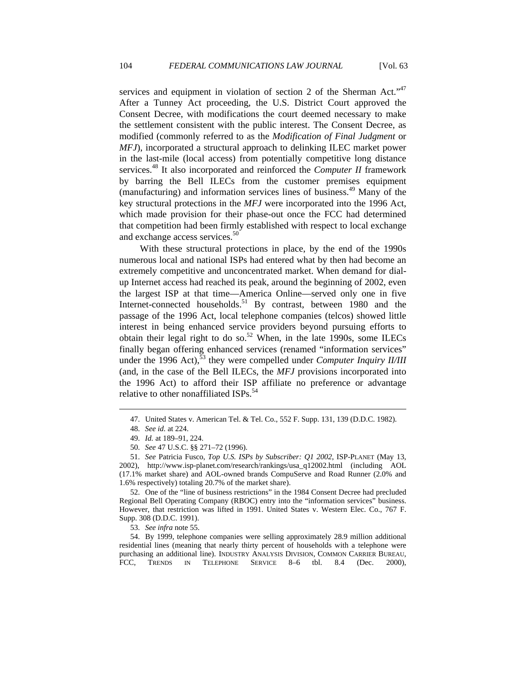services and equipment in violation of section 2 of the Sherman Act."<sup>47</sup> After a Tunney Act proceeding, the U.S. District Court approved the Consent Decree, with modifications the court deemed necessary to make the settlement consistent with the public interest. The Consent Decree, as modified (commonly referred to as the *Modification of Final Judgment* or *MFJ*), incorporated a structural approach to delinking ILEC market power in the last-mile (local access) from potentially competitive long distance services.<sup>48</sup> It also incorporated and reinforced the *Computer II* framework by barring the Bell ILECs from the customer premises equipment (manufacturing) and information services lines of business.49 Many of the key structural protections in the *MFJ* were incorporated into the 1996 Act, which made provision for their phase-out once the FCC had determined that competition had been firmly established with respect to local exchange and exchange access services.<sup>50</sup>

With these structural protections in place, by the end of the 1990s numerous local and national ISPs had entered what by then had become an extremely competitive and unconcentrated market. When demand for dialup Internet access had reached its peak, around the beginning of 2002, even the largest ISP at that time—America Online—served only one in five Internet-connected households.<sup>51</sup> By contrast, between  $1980$  and the passage of the 1996 Act, local telephone companies (telcos) showed little interest in being enhanced service providers beyond pursuing efforts to obtain their legal right to do so.<sup>52</sup> When, in the late 1990s, some ILECs finally began offering enhanced services (renamed "information services" under the 1996 Act),  $\frac{53}{3}$  they were compelled under *Computer Inquiry II/III* (and, in the case of the Bell ILECs, the *MFJ* provisions incorporated into the 1996 Act) to afford their ISP affiliate no preference or advantage relative to other nonaffiliated ISPs.<sup>54</sup>

 $\overline{a}$ 

 52. One of the "line of business restrictions" in the 1984 Consent Decree had precluded Regional Bell Operating Company (RBOC) entry into the "information services" business. However, that restriction was lifted in 1991. United States v. Western Elec. Co., 767 F. Supp. 308 (D.D.C. 1991).

53. *See infra* note 55.

 54. By 1999, telephone companies were selling approximately 28.9 million additional residential lines (meaning that nearly thirty percent of households with a telephone were purchasing an additional line). INDUSTRY ANALYSIS DIVISION, COMMON CARRIER BUREAU, FCC, TRENDS IN TELEPHONE SERVICE 8–6 tbl. 8.4 (Dec. 2000),

 <sup>47.</sup> United States v. American Tel. & Tel. Co., 552 F. Supp. 131, 139 (D.D.C. 1982).

 <sup>48.</sup> *See id.* at 224.

 <sup>49.</sup> *Id.* at 189–91, 224.

 <sup>50.</sup> *See* 47 U.S.C. §§ 271–72 (1996).

 <sup>51.</sup> *See* Patricia Fusco, *Top U.S. ISPs by Subscriber: Q1 2002*, ISP-PLANET (May 13, 2002), http://www.isp-planet.com/research/rankings/usa\_q12002.html (including AOL (17.1% market share) and AOL-owned brands CompuServe and Road Runner (2.0% and 1.6% respectively) totaling 20.7% of the market share).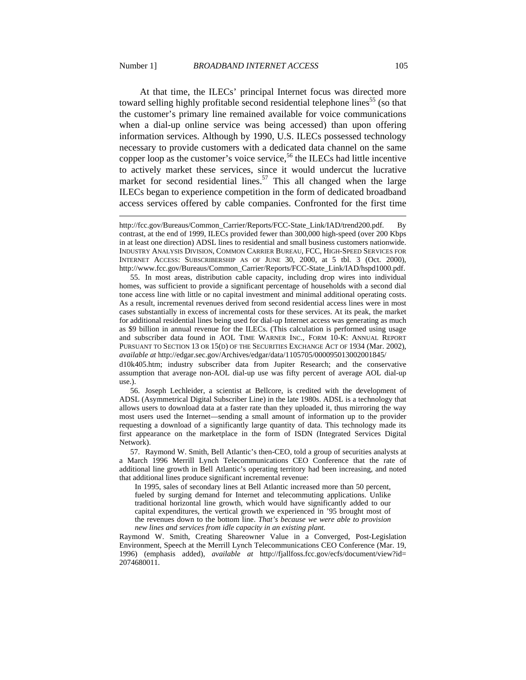At that time, the ILECs' principal Internet focus was directed more toward selling highly profitable second residential telephone lines<sup>55</sup> (so that the customer's primary line remained available for voice communications when a dial-up online service was being accessed) than upon offering information services. Although by 1990, U.S. ILECs possessed technology necessary to provide customers with a dedicated data channel on the same copper loop as the customer's voice service,<sup>56</sup> the ILECs had little incentive to actively market these services, since it would undercut the lucrative market for second residential lines.<sup>57</sup> This all changed when the large ILECs began to experience competition in the form of dedicated broadband access services offered by cable companies. Confronted for the first time

 55. In most areas, distribution cable capacity, including drop wires into individual homes, was sufficient to provide a significant percentage of households with a second dial tone access line with little or no capital investment and minimal additional operating costs. As a result, incremental revenues derived from second residential access lines were in most cases substantially in excess of incremental costs for these services. At its peak, the market for additional residential lines being used for dial-up Internet access was generating as much as \$9 billion in annual revenue for the ILECs. (This calculation is performed using usage and subscriber data found in AOL TIME WARNER INC., FORM 10-K: ANNUAL REPORT PURSUANT TO SECTION 13 OR 15(D) OF THE SECURITIES EXCHANGE ACT OF 1934 (Mar. 2002), *available at* http://edgar.sec.gov/Archives/edgar/data/1105705/000095013002001845/

d10k405.htm; industry subscriber data from Jupiter Research; and the conservative assumption that average non-AOL dial-up use was fifty percent of average AOL dial-up use.).

 56. Joseph Lechleider, a scientist at Bellcore, is credited with the development of ADSL (Asymmetrical Digital Subscriber Line) in the late 1980s. ADSL is a technology that allows users to download data at a faster rate than they uploaded it, thus mirroring the way most users used the Internet—sending a small amount of information up to the provider requesting a download of a significantly large quantity of data. This technology made its first appearance on the marketplace in the form of ISDN (Integrated Services Digital Network).

 57. Raymond W. Smith, Bell Atlantic's then-CEO, told a group of securities analysts at a March 1996 Merrill Lynch Telecommunications CEO Conference that the rate of additional line growth in Bell Atlantic's operating territory had been increasing, and noted that additional lines produce significant incremental revenue:

In 1995, sales of secondary lines at Bell Atlantic increased more than 50 percent, fueled by surging demand for Internet and telecommuting applications. Unlike traditional horizontal line growth, which would have significantly added to our capital expenditures, the vertical growth we experienced in '95 brought most of the revenues down to the bottom line. *That's because we were able to provision new lines and services from idle capacity in an existing plant.*

Raymond W. Smith, Creating Shareowner Value in a Converged, Post-Legislation Environment, Speech at the Merrill Lynch Telecommunications CEO Conference (Mar. 19, 1996) (emphasis added), *available at* http://fjallfoss.fcc.gov/ecfs/document/view?id= 2074680011.

http://fcc.gov/Bureaus/Common\_Carrier/Reports/FCC-State\_Link/IAD/trend200.pdf. By contrast, at the end of 1999, ILECs provided fewer than 300,000 high-speed (over 200 Kbps in at least one direction) ADSL lines to residential and small business customers nationwide. INDUSTRY ANALYSIS DIVISION, COMMON CARRIER BUREAU, FCC, HIGH-SPEED SERVICES FOR INTERNET ACCESS: SUBSCRIBERSHIP AS OF JUNE 30, 2000, at 5 tbl. 3 (Oct. 2000), http://www.fcc.gov/Bureaus/Common\_Carrier/Reports/FCC-State\_Link/IAD/hspd1000.pdf.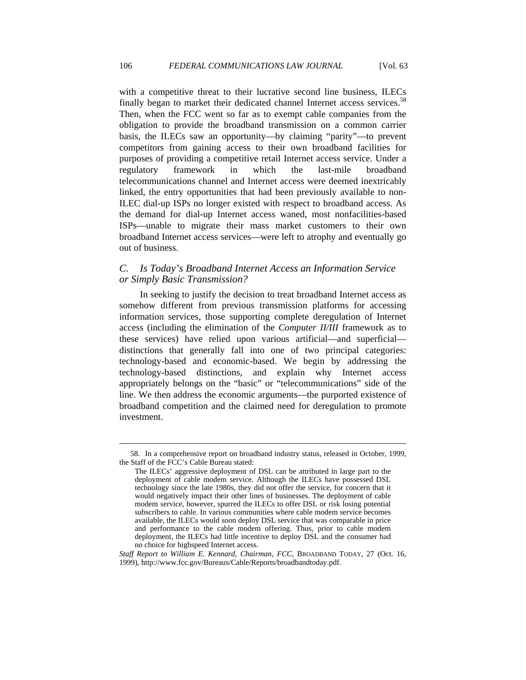with a competitive threat to their lucrative second line business, ILECs finally began to market their dedicated channel Internet access services.<sup>58</sup> Then, when the FCC went so far as to exempt cable companies from the obligation to provide the broadband transmission on a common carrier basis, the ILECs saw an opportunity—by claiming "parity"—to prevent competitors from gaining access to their own broadband facilities for purposes of providing a competitive retail Internet access service. Under a regulatory framework in which the last-mile broadband telecommunications channel and Internet access were deemed inextricably linked, the entry opportunities that had been previously available to non-ILEC dial-up ISPs no longer existed with respect to broadband access. As the demand for dial-up Internet access waned, most nonfacilities-based ISPs—unable to migrate their mass market customers to their own broadband Internet access services—were left to atrophy and eventually go out of business.

## *C. Is Today's Broadband Internet Access an Information Service or Simply Basic Transmission?*

In seeking to justify the decision to treat broadband Internet access as somehow different from previous transmission platforms for accessing information services, those supporting complete deregulation of Internet access (including the elimination of the *Computer II/III* framework as to these services) have relied upon various artificial—and superficial distinctions that generally fall into one of two principal categories: technology-based and economic-based. We begin by addressing the technology-based distinctions, and explain why Internet access appropriately belongs on the "basic" or "telecommunications" side of the line. We then address the economic arguments—the purported existence of broadband competition and the claimed need for deregulation to promote investment.

 <sup>58.</sup> In a comprehensive report on broadband industry status, released in October, 1999, the Staff of the FCC's Cable Bureau stated:

The ILECs' aggressive deployment of DSL can be attributed in large part to the deployment of cable modem service. Although the ILECs have possessed DSL technology since the late 1980s, they did not offer the service, for concern that it would negatively impact their other lines of businesses. The deployment of cable modem service, however, spurred the ILECs to offer DSL or risk losing potential subscribers to cable. In various communities where cable modem service becomes available, the ILECs would soon deploy DSL service that was comparable in price and performance to the cable modem offering. Thus, prior to cable modem deployment, the ILECs had little incentive to deploy DSL and the consumer had no choice for highspeed Internet access.

*Staff Report to William E. Kennard, Chairman, FCC*, BROADBAND TODAY, 27 (Oct. 16, 1999), http://www.fcc.gov/Bureaus/Cable/Reports/broadbandtoday.pdf.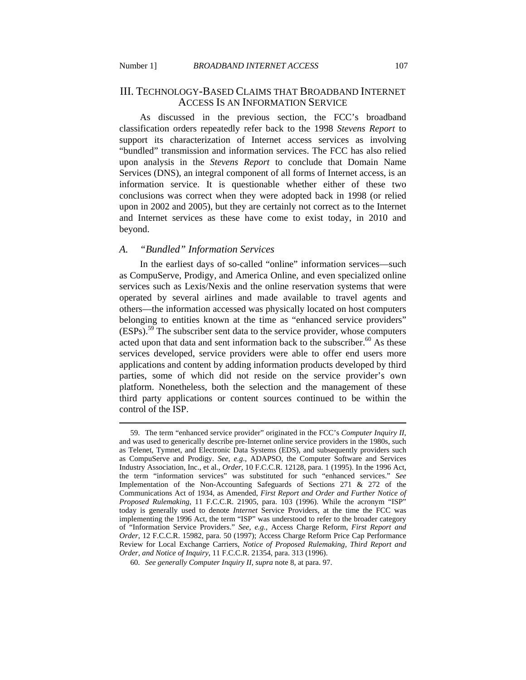#### III. TECHNOLOGY-BASED CLAIMS THAT BROADBAND INTERNET ACCESS IS AN INFORMATION SERVICE

As discussed in the previous section, the FCC's broadband classification orders repeatedly refer back to the 1998 *Stevens Report* to support its characterization of Internet access services as involving "bundled" transmission and information services. The FCC has also relied upon analysis in the *Stevens Report* to conclude that Domain Name Services (DNS), an integral component of all forms of Internet access, is an information service. It is questionable whether either of these two conclusions was correct when they were adopted back in 1998 (or relied upon in 2002 and 2005), but they are certainly not correct as to the Internet and Internet services as these have come to exist today, in 2010 and beyond.

#### *A. "Bundled" Information Services*

In the earliest days of so-called "online" information services—such as CompuServe, Prodigy, and America Online, and even specialized online services such as Lexis/Nexis and the online reservation systems that were operated by several airlines and made available to travel agents and others—the information accessed was physically located on host computers belonging to entities known at the time as "enhanced service providers" (ESPs).59 The subscriber sent data to the service provider, whose computers acted upon that data and sent information back to the subscriber.<sup>60</sup> As these services developed, service providers were able to offer end users more applications and content by adding information products developed by third parties, some of which did not reside on the service provider's own platform. Nonetheless, both the selection and the management of these third party applications or content sources continued to be within the control of the ISP.

 <sup>59.</sup> The term "enhanced service provider" originated in the FCC's *Computer Inquiry II*, and was used to generically describe pre-Internet online service providers in the 1980s, such as Telenet, Tymnet, and Electronic Data Systems (EDS), and subsequently providers such as CompuServe and Prodigy. *See, e.g.*, ADAPSO, the Computer Software and Services Industry Association, Inc., et al., *Order*, 10 F.C.C.R. 12128, para. 1 (1995). In the 1996 Act, the term "information services" was substituted for such "enhanced services." *See* Implementation of the Non-Accounting Safeguards of Sections 271 & 272 of the Communications Act of 1934, as Amended, *First Report and Order and Further Notice of Proposed Rulemaking*, 11 F.C.C.R. 21905, para. 103 (1996). While the acronym "ISP" today is generally used to denote *Internet* Service Providers, at the time the FCC was implementing the 1996 Act, the term "ISP" was understood to refer to the broader category of "Information Service Providers." *See, e.g.*, Access Charge Reform, *First Report and Order*, 12 F.C.C.R. 15982, para. 50 (1997); Access Charge Reform Price Cap Performance Review for Local Exchange Carriers, *Notice of Proposed Rulemaking, Third Report and Order, and Notice of Inquiry*, 11 F.C.C.R. 21354, para. 313 (1996).

 <sup>60.</sup> *See generally Computer Inquiry II*, *supra* note 8, at para. 97.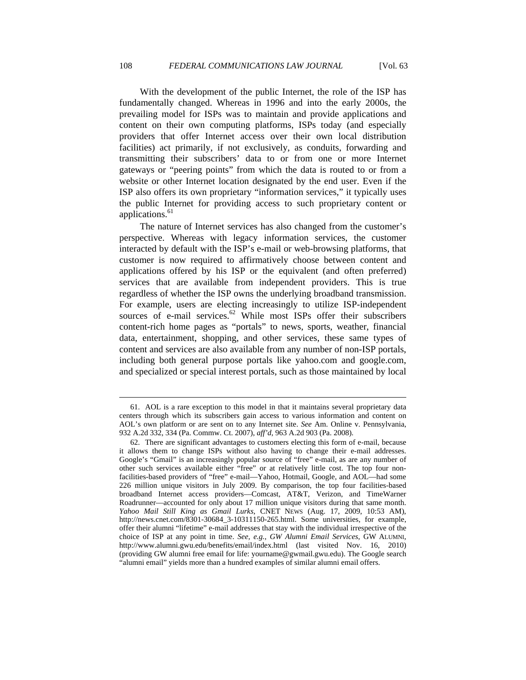With the development of the public Internet, the role of the ISP has fundamentally changed. Whereas in 1996 and into the early 2000s, the prevailing model for ISPs was to maintain and provide applications and content on their own computing platforms, ISPs today (and especially providers that offer Internet access over their own local distribution facilities) act primarily, if not exclusively, as conduits, forwarding and transmitting their subscribers' data to or from one or more Internet gateways or "peering points" from which the data is routed to or from a website or other Internet location designated by the end user. Even if the ISP also offers its own proprietary "information services," it typically uses the public Internet for providing access to such proprietary content or applications.<sup>61</sup>

The nature of Internet services has also changed from the customer's perspective. Whereas with legacy information services, the customer interacted by default with the ISP's e-mail or web-browsing platforms, that customer is now required to affirmatively choose between content and applications offered by his ISP or the equivalent (and often preferred) services that are available from independent providers. This is true regardless of whether the ISP owns the underlying broadband transmission. For example, users are electing increasingly to utilize ISP-independent sources of e-mail services. $62$  While most ISPs offer their subscribers content-rich home pages as "portals" to news, sports, weather, financial data, entertainment, shopping, and other services, these same types of content and services are also available from any number of non-ISP portals, including both general purpose portals like yahoo.com and google.com, and specialized or special interest portals, such as those maintained by local

 <sup>61.</sup> AOL is a rare exception to this model in that it maintains several proprietary data centers through which its subscribers gain access to various information and content on AOL's own platform or are sent on to any Internet site. *See* Am. Online v. Pennsylvania, 932 A.2d 332, 334 (Pa. Commw. Ct. 2007), *aff'd*, 963 A.2d 903 (Pa. 2008).

 <sup>62.</sup> There are significant advantages to customers electing this form of e-mail, because it allows them to change ISPs without also having to change their e-mail addresses. Google's "Gmail" is an increasingly popular source of "free" e-mail, as are any number of other such services available either "free" or at relatively little cost. The top four nonfacilities-based providers of "free" e-mail—Yahoo, Hotmail, Google, and AOL—had some 226 million unique visitors in July 2009. By comparison, the top four facilities-based broadband Internet access providers—Comcast, AT&T, Verizon, and TimeWarner Roadrunner—accounted for only about 17 million unique visitors during that same month. *Yahoo Mail Still King as Gmail Lurks*, CNET NEWS (Aug. 17, 2009, 10:53 AM), http://news.cnet.com/8301-30684\_3-10311150-265.html. Some universities, for example, offer their alumni "lifetime" e-mail addresses that stay with the individual irrespective of the choice of ISP at any point in time. *See, e.g.*, *GW Alumni Email Services*, GW ALUMNI, http://www.alumni.gwu.edu/benefits/email/index.html (last visited Nov. 16, 2010) (providing GW alumni free email for life: yourname@gwmail.gwu.edu). The Google search "alumni email" yields more than a hundred examples of similar alumni email offers.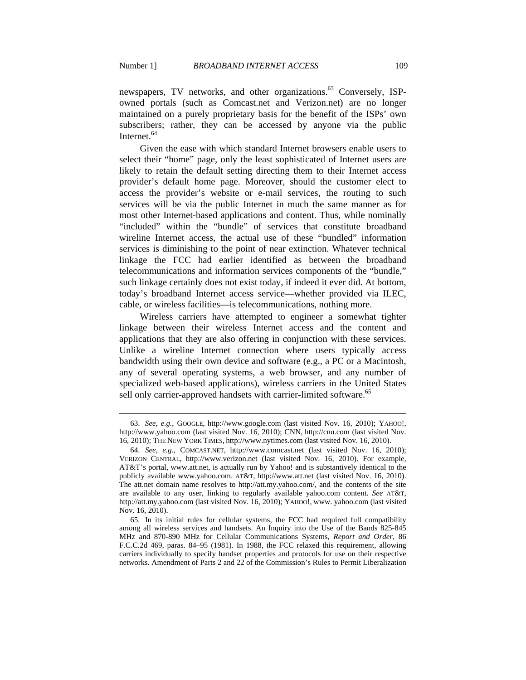newspapers, TV networks, and other organizations.<sup>63</sup> Conversely, ISPowned portals (such as Comcast.net and Verizon.net) are no longer maintained on a purely proprietary basis for the benefit of the ISPs' own subscribers; rather, they can be accessed by anyone via the public Internet<sup>64</sup>

Given the ease with which standard Internet browsers enable users to select their "home" page, only the least sophisticated of Internet users are likely to retain the default setting directing them to their Internet access provider's default home page. Moreover, should the customer elect to access the provider's website or e-mail services, the routing to such services will be via the public Internet in much the same manner as for most other Internet-based applications and content. Thus, while nominally "included" within the "bundle" of services that constitute broadband wireline Internet access, the actual use of these "bundled" information services is diminishing to the point of near extinction. Whatever technical linkage the FCC had earlier identified as between the broadband telecommunications and information services components of the "bundle," such linkage certainly does not exist today, if indeed it ever did. At bottom, today's broadband Internet access service—whether provided via ILEC, cable, or wireless facilities—is telecommunications, nothing more.

Wireless carriers have attempted to engineer a somewhat tighter linkage between their wireless Internet access and the content and applications that they are also offering in conjunction with these services. Unlike a wireline Internet connection where users typically access bandwidth using their own device and software (e.g., a PC or a Macintosh, any of several operating systems, a web browser, and any number of specialized web-based applications), wireless carriers in the United States sell only carrier-approved handsets with carrier-limited software.<sup>65</sup>

 <sup>63.</sup> *See, e.g.*, GOOGLE, http://www.google.com (last visited Nov. 16, 2010); YAHOO!, http://www.yahoo.com (last visited Nov. 16, 2010); CNN, http://cnn.com (last visited Nov. 16, 2010); THE NEW YORK TIMES, http://www.nytimes.com (last visited Nov. 16, 2010).

 <sup>64.</sup> *See, e.g.*, COMCAST.NET, http://www.comcast.net (last visited Nov. 16, 2010); VERIZON CENTRAL, http://www.verizon.net (last visited Nov. 16, 2010). For example, AT&T's portal, www.att.net, is actually run by Yahoo! and is substantively identical to the publicly available www.yahoo.com. AT&T, http://www.att.net (last visited Nov. 16, 2010). The att.net domain name resolves to http://att.my.yahoo.com/, and the contents of the site are available to any user, linking to regularly available yahoo.com content. *See* AT&T, http://att.my.yahoo.com (last visited Nov. 16, 2010); YAHOO!, www. yahoo.com (last visited Nov. 16, 2010).

 <sup>65.</sup> In its initial rules for cellular systems, the FCC had required full compatibility among all wireless services and handsets. An Inquiry into the Use of the Bands 825-845 MHz and 870-890 MHz for Cellular Communications Systems, *Report and Order*, 86 F.C.C.2d 469, paras. 84–95 (1981). In 1988, the FCC relaxed this requirement, allowing carriers individually to specify handset properties and protocols for use on their respective networks. Amendment of Parts 2 and 22 of the Commission's Rules to Permit Liberalization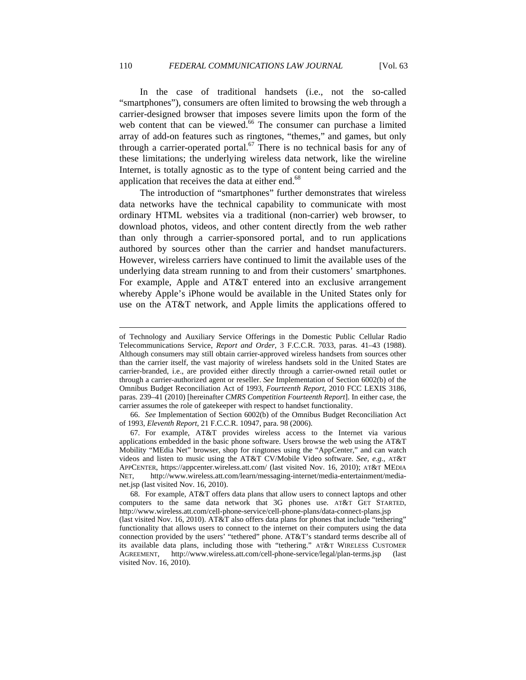In the case of traditional handsets (i.e., not the so-called "smartphones"), consumers are often limited to browsing the web through a carrier-designed browser that imposes severe limits upon the form of the web content that can be viewed.<sup>66</sup> The consumer can purchase a limited array of add-on features such as ringtones, "themes," and games, but only through a carrier-operated portal.<sup>67</sup> There is no technical basis for any of these limitations; the underlying wireless data network, like the wireline Internet, is totally agnostic as to the type of content being carried and the application that receives the data at either end.<sup>68</sup>

The introduction of "smartphones" further demonstrates that wireless data networks have the technical capability to communicate with most ordinary HTML websites via a traditional (non-carrier) web browser, to download photos, videos, and other content directly from the web rather than only through a carrier-sponsored portal, and to run applications authored by sources other than the carrier and handset manufacturers. However, wireless carriers have continued to limit the available uses of the underlying data stream running to and from their customers' smartphones. For example, Apple and AT&T entered into an exclusive arrangement whereby Apple's iPhone would be available in the United States only for use on the AT&T network, and Apple limits the applications offered to

of Technology and Auxiliary Service Offerings in the Domestic Public Cellular Radio Telecommunications Service, *Report and Order*, 3 F.C.C.R. 7033, paras. 41–43 (1988). Although consumers may still obtain carrier-approved wireless handsets from sources other than the carrier itself, the vast majority of wireless handsets sold in the United States are carrier-branded, i.e., are provided either directly through a carrier-owned retail outlet or through a carrier-authorized agent or reseller. *See* Implementation of Section 6002(b) of the Omnibus Budget Reconciliation Act of 1993, *Fourteenth Report*, 2010 FCC LEXIS 3186, paras. 239–41 (2010) [hereinafter *CMRS Competition Fourteenth Report*]. In either case, the carrier assumes the role of gatekeeper with respect to handset functionality.

 <sup>66.</sup> *See* Implementation of Section 6002(b) of the Omnibus Budget Reconciliation Act of 1993, *Eleventh Report*, 21 F.C.C.R. 10947, para. 98 (2006).

 <sup>67.</sup> For example, AT&T provides wireless access to the Internet via various applications embedded in the basic phone software. Users browse the web using the AT&T Mobility "MEdia Net" browser, shop for ringtones using the "AppCenter," and can watch videos and listen to music using the AT&T CV/Mobile Video software. *See, e.g.*, AT&T APPCENTER, https://appcenter.wireless.att.com/ (last visited Nov. 16, 2010); AT&T MEDIA NET, http://www.wireless.att.com/learn/messaging-internet/media-entertainment/medianet.jsp (last visited Nov. 16, 2010).

 <sup>68.</sup> For example, AT&T offers data plans that allow users to connect laptops and other computers to the same data network that 3G phones use. AT&T GET STARTED, http://www.wireless.att.com/cell-phone-service/cell-phone-plans/data-connect-plans.jsp (last visited Nov. 16, 2010). AT&T also offers data plans for phones that include "tethering" functionality that allows users to connect to the internet on their computers using the data connection provided by the users' "tethered" phone. AT&T's standard terms describe all of its available data plans, including those with "tethering." AT&T WIRELESS CUSTOMER AGREEMENT, http://www.wireless.att.com/cell-phone-service/legal/plan-terms.jsp (last visited Nov. 16, 2010).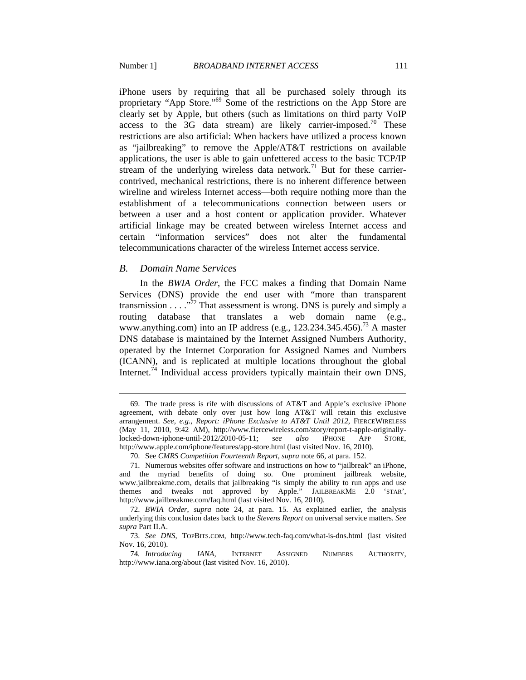iPhone users by requiring that all be purchased solely through its proprietary "App Store."69 Some of the restrictions on the App Store are clearly set by Apple, but others (such as limitations on third party VoIP access to the  $3G$  data stream) are likely carrier-imposed.<sup>70</sup> These restrictions are also artificial: When hackers have utilized a process known as "jailbreaking" to remove the Apple/AT&T restrictions on available applications, the user is able to gain unfettered access to the basic TCP/IP stream of the underlying wireless data network.<sup>71</sup> But for these carriercontrived, mechanical restrictions, there is no inherent difference between wireline and wireless Internet access—both require nothing more than the establishment of a telecommunications connection between users or between a user and a host content or application provider. Whatever artificial linkage may be created between wireless Internet access and certain "information services" does not alter the fundamental telecommunications character of the wireless Internet access service.

#### *B. Domain Name Services*

In the *BWIA Order*, the FCC makes a finding that Domain Name Services (DNS) provide the end user with "more than transparent transmission . . . .<sup>372</sup> That assessment is wrong. DNS is purely and simply a routing database that translates a web domain name (e.g., www.anything.com) into an IP address (e.g., 123.234.345.456).<sup>73</sup> A master DNS database is maintained by the Internet Assigned Numbers Authority, operated by the Internet Corporation for Assigned Names and Numbers (ICANN), and is replicated at multiple locations throughout the global Internet.<sup>74</sup> Individual access providers typically maintain their own DNS,

 <sup>69.</sup> The trade press is rife with discussions of AT&T and Apple's exclusive iPhone agreement, with debate only over just how long AT&T will retain this exclusive arrangement. *See, e.g.*, *Report: iPhone Exclusive to AT&T Until 2012*, FIERCEWIRELESS (May 11, 2010, 9:42 AM), http://www.fiercewireless.com/story/report-t-apple-originally-<br>locked-down-iphone-until-2012/2010-05-11: see also IPHONE APP STORE. locked-down-iphone-until-2012/2010-05-11; see also IPHONE APP http://www.apple.com/iphone/features/app-store.html (last visited Nov. 16, 2010).

 <sup>70.</sup> See *CMRS Competition Fourteenth Report*, *supra* note 66, at para. 152.

 <sup>71.</sup> Numerous websites offer software and instructions on how to "jailbreak" an iPhone, and the myriad benefits of doing so. One prominent jailbreak website, www.jailbreakme.com, details that jailbreaking "is simply the ability to run apps and use themes and tweaks not approved by Apple." JAILBREAKME 2.0 'STAR', http://www.jailbreakme.com/faq.html (last visited Nov. 16, 2010).

 <sup>72.</sup> *BWIA Order*, *supra* note 24, at para. 15. As explained earlier, the analysis underlying this conclusion dates back to the *Stevens Report* on universal service matters. *See supra* Part II.A.

 <sup>73.</sup> *See DNS*, TOPBITS.COM, http://www.tech-faq.com/what-is-dns.html (last visited Nov. 16, 2010).

<sup>74</sup>*. Introducing IANA*, INTERNET ASSIGNED NUMBERS AUTHORITY, http://www.iana.org/about (last visited Nov. 16, 2010).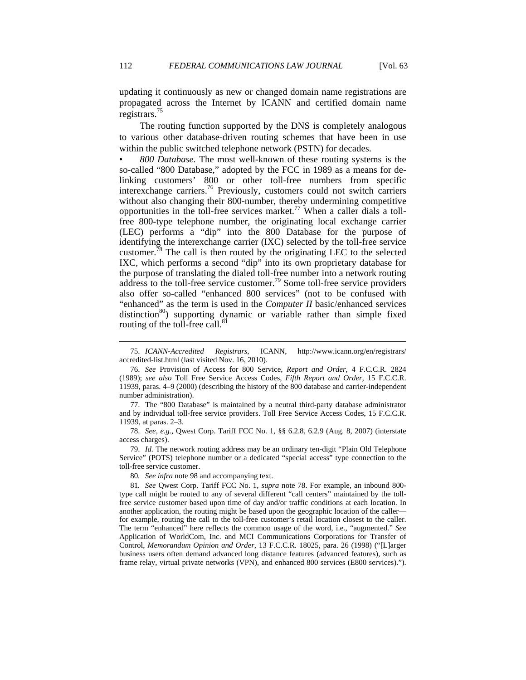updating it continuously as new or changed domain name registrations are propagated across the Internet by ICANN and certified domain name registrars.<sup>75</sup>

The routing function supported by the DNS is completely analogous to various other database-driven routing schemes that have been in use within the public switched telephone network (PSTN) for decades.

• *800 Database.* The most well-known of these routing systems is the so-called "800 Database," adopted by the FCC in 1989 as a means for delinking customers' 800 or other toll-free numbers from specific interexchange carriers.76 Previously, customers could not switch carriers without also changing their 800-number, thereby undermining competitive opportunities in the toll-free services market.<sup>77</sup> When a caller dials a tollfree 800-type telephone number, the originating local exchange carrier (LEC) performs a "dip" into the 800 Database for the purpose of identifying the interexchange carrier (IXC) selected by the toll-free service customer.<sup>78</sup> The call is then routed by the originating LEC to the selected IXC, which performs a second "dip" into its own proprietary database for the purpose of translating the dialed toll-free number into a network routing address to the toll-free service customer.<sup>79</sup> Some toll-free service providers also offer so-called "enhanced 800 services" (not to be confused with "enhanced" as the term is used in the *Computer II* basic/enhanced services distinction<sup>80</sup>) supporting dynamic or variable rather than simple fixed routing of the toll-free call.<sup>81</sup>

 78. *See, e.g.*, Qwest Corp. Tariff FCC No. 1, §§ 6.2.8, 6.2.9 (Aug. 8, 2007) (interstate access charges).

 79. *Id.* The network routing address may be an ordinary ten-digit "Plain Old Telephone Service" (POTS) telephone number or a dedicated "special access" type connection to the toll-free service customer.

80*. See infra* note 98 and accompanying text.

 <sup>75.</sup> *ICANN-Accredited Registrars*, ICANN, http://www.icann.org/en/registrars/ accredited-list.html (last visited Nov. 16, 2010).

 <sup>76.</sup> *See* Provision of Access for 800 Service, *Report and Order*, 4 F.C.C.R. 2824 (1989); *see also* Toll Free Service Access Codes, *Fifth Report and Order*, 15 F.C.C.R. 11939, paras. 4–9 (2000) (describing the history of the 800 database and carrier-independent number administration).

 <sup>77.</sup> The "800 Database" is maintained by a neutral third-party database administrator and by individual toll-free service providers. Toll Free Service Access Codes, 15 F.C.C.R. 11939, at paras. 2–3.

<sup>81</sup>*. See* Qwest Corp. Tariff FCC No. 1, *supra* note 78. For example, an inbound 800 type call might be routed to any of several different "call centers" maintained by the tollfree service customer based upon time of day and/or traffic conditions at each location. In another application, the routing might be based upon the geographic location of the caller for example, routing the call to the toll-free customer's retail location closest to the caller. The term "enhanced" here reflects the common usage of the word, i.e., "augmented." *See* Application of WorldCom, Inc. and MCI Communications Corporations for Transfer of Control, *Memorandum Opinion and Order*, 13 F.C.C.R. 18025, para. 26 (1998) ("[L]arger business users often demand advanced long distance features (advanced features), such as frame relay, virtual private networks (VPN), and enhanced 800 services (E800 services).").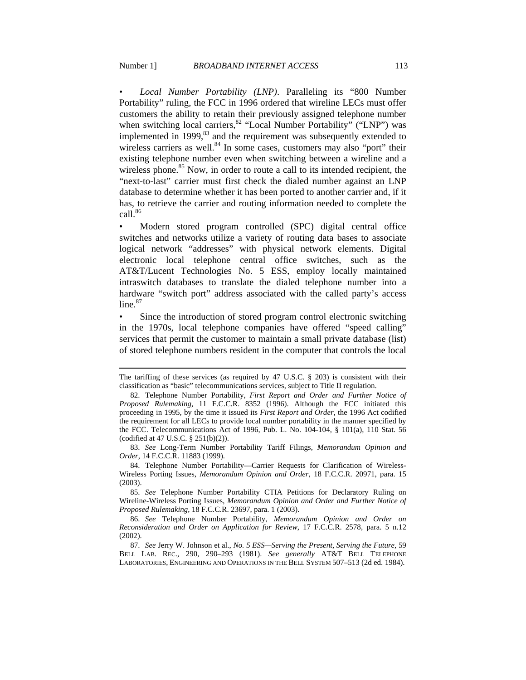• *Local Number Portability (LNP)*. Paralleling its "800 Number Portability" ruling, the FCC in 1996 ordered that wireline LECs must offer customers the ability to retain their previously assigned telephone number when switching local carriers,  $82$  "Local Number Portability" ("LNP") was implemented in  $1999$ ,  $^{83}$  and the requirement was subsequently extended to wireless carriers as well. $84$  In some cases, customers may also "port" their existing telephone number even when switching between a wireline and a wireless phone. $85$  Now, in order to route a call to its intended recipient, the "next-to-last" carrier must first check the dialed number against an LNP database to determine whether it has been ported to another carrier and, if it has, to retrieve the carrier and routing information needed to complete the  $call.<sup>86</sup>$ 

• Modern stored program controlled (SPC) digital central office switches and networks utilize a variety of routing data bases to associate logical network "addresses" with physical network elements. Digital electronic local telephone central office switches, such as the AT&T/Lucent Technologies No. 5 ESS, employ locally maintained intraswitch databases to translate the dialed telephone number into a hardware "switch port" address associated with the called party's access  $line<sup>87</sup>$ 

Since the introduction of stored program control electronic switching in the 1970s, local telephone companies have offered "speed calling" services that permit the customer to maintain a small private database (list) of stored telephone numbers resident in the computer that controls the local

 83. *See* Long-Term Number Portability Tariff Filings, *Memorandum Opinion and Order*, 14 F.C.C.R. 11883 (1999).

 84. Telephone Number Portability—Carrier Requests for Clarification of Wireless-Wireless Porting Issues, *Memorandum Opinion and Order*, 18 F.C.C.R. 20971, para. 15 (2003).

 85. *See* Telephone Number Portability CTIA Petitions for Declaratory Ruling on Wireline-Wireless Porting Issues, *Memorandum Opinion and Order and Further Notice of Proposed Rulemaking*, 18 F.C.C.R. 23697, para. 1 (2003).

 86. *See* Telephone Number Portability, *Memorandum Opinion and Order on Reconsideration and Order on Application for Review*, 17 F.C.C.R. 2578, para. 5 n.12  $(2002)$ .

 87. *See* Jerry W. Johnson et al., *No. 5 ESS—Serving the Present, Serving the Future*, 59 BELL LAB. REC., 290, 290–293 (1981). *See generally* AT&T BELL TELEPHONE LABORATORIES, ENGINEERING AND OPERATIONS IN THE BELL SYSTEM 507–513 (2d ed. 1984).

The tariffing of these services (as required by 47 U.S.C. § 203) is consistent with their classification as "basic" telecommunications services, subject to Title II regulation.

 <sup>82.</sup> Telephone Number Portability, *First Report and Order and Further Notice of Proposed Rulemaking*, 11 F.C.C.R. 8352 (1996). Although the FCC initiated this proceeding in 1995, by the time it issued its *First Report and Order*, the 1996 Act codified the requirement for all LECs to provide local number portability in the manner specified by the FCC. Telecommunications Act of 1996, Pub. L. No. 104-104, § 101(a), 110 Stat. 56 (codified at 47 U.S.C. § 251(b)(2)).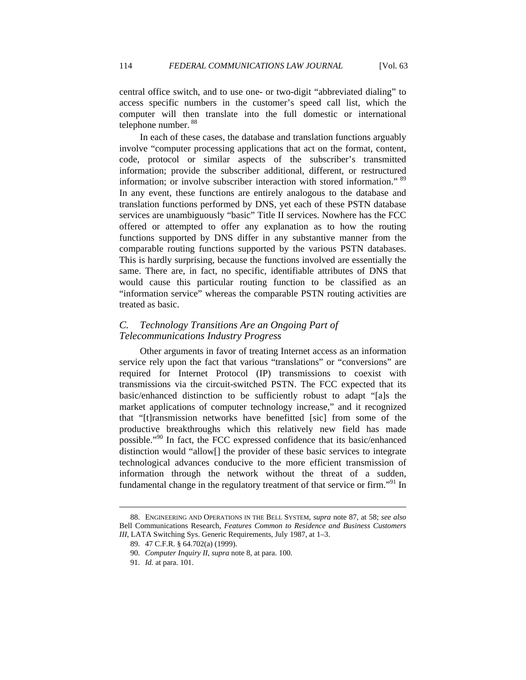central office switch, and to use one- or two-digit "abbreviated dialing" to access specific numbers in the customer's speed call list, which the computer will then translate into the full domestic or international telephone number. 88

In each of these cases, the database and translation functions arguably involve "computer processing applications that act on the format, content, code, protocol or similar aspects of the subscriber's transmitted information; provide the subscriber additional, different, or restructured information; or involve subscriber interaction with stored information." <sup>89</sup> In any event, these functions are entirely analogous to the database and translation functions performed by DNS, yet each of these PSTN database services are unambiguously "basic" Title II services. Nowhere has the FCC offered or attempted to offer any explanation as to how the routing functions supported by DNS differ in any substantive manner from the comparable routing functions supported by the various PSTN databases. This is hardly surprising, because the functions involved are essentially the same. There are, in fact, no specific, identifiable attributes of DNS that would cause this particular routing function to be classified as an "information service" whereas the comparable PSTN routing activities are treated as basic.

## *C. Technology Transitions Are an Ongoing Part of Telecommunications Industry Progress*

Other arguments in favor of treating Internet access as an information service rely upon the fact that various "translations" or "conversions" are required for Internet Protocol (IP) transmissions to coexist with transmissions via the circuit-switched PSTN. The FCC expected that its basic/enhanced distinction to be sufficiently robust to adapt "[a]s the market applications of computer technology increase," and it recognized that "[t]ransmission networks have benefitted [sic] from some of the productive breakthroughs which this relatively new field has made possible."90 In fact, the FCC expressed confidence that its basic/enhanced distinction would "allow[] the provider of these basic services to integrate technological advances conducive to the more efficient transmission of information through the network without the threat of a sudden, fundamental change in the regulatory treatment of that service or firm.<sup>"91</sup> In

 <sup>88.</sup> ENGINEERING AND OPERATIONS IN THE BELL SYSTEM, *supra* note 87, at 58; *see also* Bell Communications Research, *Features Common to Residence and Business Customers III*, LATA Switching Sys. Generic Requirements, July 1987, at 1–3.

 <sup>89. 47</sup> C.F.R. § 64.702(a) (1999).

 <sup>90.</sup> *Computer Inquiry II*, *supra* note 8, at para. 100.

 <sup>91.</sup> *Id.* at para. 101.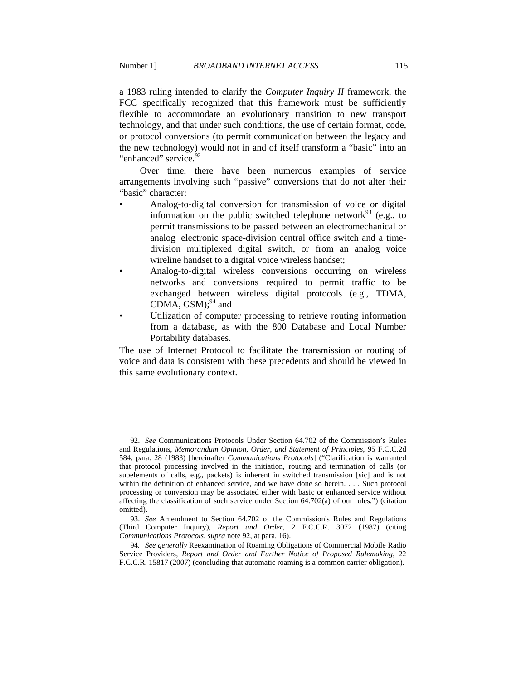a 1983 ruling intended to clarify the *Computer Inquiry II* framework, the FCC specifically recognized that this framework must be sufficiently flexible to accommodate an evolutionary transition to new transport technology, and that under such conditions, the use of certain format, code, or protocol conversions (to permit communication between the legacy and the new technology) would not in and of itself transform a "basic" into an "enhanced" service.<sup>92</sup>

Over time, there have been numerous examples of service arrangements involving such "passive" conversions that do not alter their "basic" character:

- Analog-to-digital conversion for transmission of voice or digital information on the public switched telephone network<sup>93</sup> (e.g., to permit transmissions to be passed between an electromechanical or analog electronic space-division central office switch and a time division multiplexed digital switch, or from an analog voice wireline handset to a digital voice wireless handset;
- Analog-to-digital wireless conversions occurring on wireless networks and conversions required to permit traffic to be exchanged between wireless digital protocols (e.g., TDMA, CDMA, GSM); $^{94}$  and
- Utilization of computer processing to retrieve routing information from a database, as with the 800 Database and Local Number Portability databases.

The use of Internet Protocol to facilitate the transmission or routing of voice and data is consistent with these precedents and should be viewed in this same evolutionary context.

 <sup>92.</sup> *See* Communications Protocols Under Section 64.702 of the Commission's Rules and Regulations, *Memorandum Opinion, Order, and Statement of Principles*, 95 F.C.C.2d 584, para. 28 (1983) [hereinafter *Communications Protocols*] ("Clarification is warranted that protocol processing involved in the initiation, routing and termination of calls (or subelements of calls, e.g., packets) is inherent in switched transmission [sic] and is not within the definition of enhanced service, and we have done so herein. . . . Such protocol processing or conversion may be associated either with basic or enhanced service without affecting the classification of such service under Section 64.702(a) of our rules.") (citation omitted).

 <sup>93.</sup> *See* Amendment to Section 64.702 of the Commission's Rules and Regulations (Third Computer Inquiry), *Report and Order*, 2 F.C.C.R. 3072 (1987) (citing *Communications Protocols*, *supra* note 92, at para. 16).

<sup>94</sup>*. See generally* Reexamination of Roaming Obligations of Commercial Mobile Radio Service Providers, *Report and Order and Further Notice of Proposed Rulemaking*, 22 F.C.C.R. 15817 (2007) (concluding that automatic roaming is a common carrier obligation).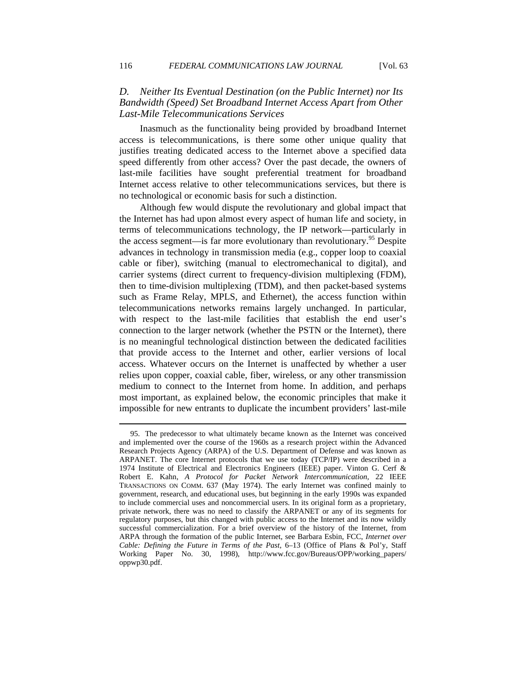## *D. Neither Its Eventual Destination (on the Public Internet) nor Its Bandwidth (Speed) Set Broadband Internet Access Apart from Other Last-Mile Telecommunications Services*

Inasmuch as the functionality being provided by broadband Internet access is telecommunications, is there some other unique quality that justifies treating dedicated access to the Internet above a specified data speed differently from other access? Over the past decade, the owners of last-mile facilities have sought preferential treatment for broadband Internet access relative to other telecommunications services, but there is no technological or economic basis for such a distinction.

Although few would dispute the revolutionary and global impact that the Internet has had upon almost every aspect of human life and society, in terms of telecommunications technology, the IP network—particularly in the access segment—is far more evolutionary than revolutionary.<sup>95</sup> Despite advances in technology in transmission media (e.g., copper loop to coaxial cable or fiber), switching (manual to electromechanical to digital), and carrier systems (direct current to frequency-division multiplexing (FDM), then to time-division multiplexing (TDM), and then packet-based systems such as Frame Relay, MPLS, and Ethernet), the access function within telecommunications networks remains largely unchanged. In particular, with respect to the last-mile facilities that establish the end user's connection to the larger network (whether the PSTN or the Internet), there is no meaningful technological distinction between the dedicated facilities that provide access to the Internet and other, earlier versions of local access. Whatever occurs on the Internet is unaffected by whether a user relies upon copper, coaxial cable, fiber, wireless, or any other transmission medium to connect to the Internet from home. In addition, and perhaps most important, as explained below, the economic principles that make it impossible for new entrants to duplicate the incumbent providers' last-mile

 <sup>95.</sup> The predecessor to what ultimately became known as the Internet was conceived and implemented over the course of the 1960s as a research project within the Advanced Research Projects Agency (ARPA) of the U.S. Department of Defense and was known as ARPANET. The core Internet protocols that we use today (TCP/IP) were described in a 1974 Institute of Electrical and Electronics Engineers (IEEE) paper. Vinton G. Cerf & Robert E. Kahn, *A Protocol for Packet Network Intercommunication*, 22 IEEE TRANSACTIONS ON COMM. 637 (May 1974). The early Internet was confined mainly to government, research, and educational uses, but beginning in the early 1990s was expanded to include commercial uses and noncommercial users. In its original form as a proprietary, private network, there was no need to classify the ARPANET or any of its segments for regulatory purposes, but this changed with public access to the Internet and its now wildly successful commercialization. For a brief overview of the history of the Internet, from ARPA through the formation of the public Internet, see Barbara Esbin, FCC, *Internet over Cable: Defining the Future in Terms of the Past*, 6–13 (Office of Plans & Pol'y, Staff Working Paper No. 30, 1998), http://www.fcc.gov/Bureaus/OPP/working\_papers/ oppwp30.pdf.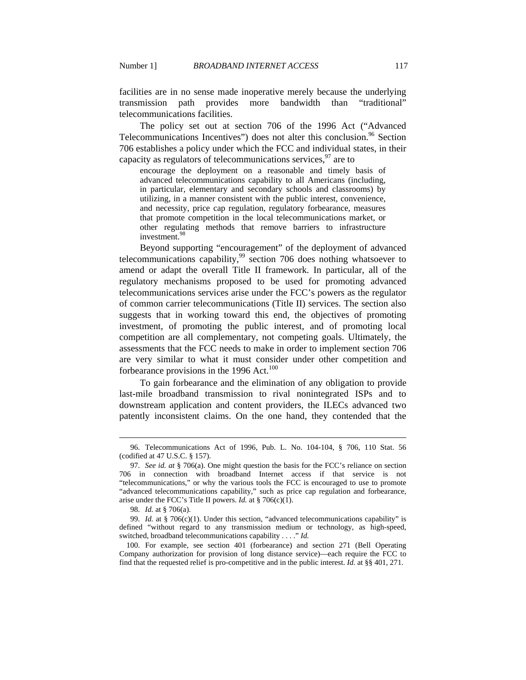facilities are in no sense made inoperative merely because the underlying transmission path provides more bandwidth than "traditional" telecommunications facilities.

The policy set out at section 706 of the 1996 Act ("Advanced Telecommunications Incentives") does not alter this conclusion.<sup>96</sup> Section 706 establishes a policy under which the FCC and individual states, in their capacity as regulators of telecommunications services,  $97$  are to

encourage the deployment on a reasonable and timely basis of advanced telecommunications capability to all Americans (including, in particular, elementary and secondary schools and classrooms) by utilizing, in a manner consistent with the public interest, convenience, and necessity, price cap regulation, regulatory forbearance, measures that promote competition in the local telecommunications market, or other regulating methods that remove barriers to infrastructure investment.<sup>98</sup>

Beyond supporting "encouragement" of the deployment of advanced telecommunications capability, $99$  section 706 does nothing whatsoever to amend or adapt the overall Title II framework. In particular, all of the regulatory mechanisms proposed to be used for promoting advanced telecommunications services arise under the FCC's powers as the regulator of common carrier telecommunications (Title II) services. The section also suggests that in working toward this end, the objectives of promoting investment, of promoting the public interest, and of promoting local competition are all complementary, not competing goals. Ultimately, the assessments that the FCC needs to make in order to implement section 706 are very similar to what it must consider under other competition and forbearance provisions in the 1996 Act.<sup>100</sup>

To gain forbearance and the elimination of any obligation to provide last-mile broadband transmission to rival nonintegrated ISPs and to downstream application and content providers, the ILECs advanced two patently inconsistent claims. On the one hand, they contended that the

 <sup>96.</sup> Telecommunications Act of 1996, Pub. L. No. 104-104, § 706, 110 Stat. 56 (codified at 47 U.S.C. § 157).

 <sup>97.</sup> *See id. at* § 706(a). One might question the basis for the FCC's reliance on section 706 in connection with broadband Internet access if that service is not "telecommunications," or why the various tools the FCC is encouraged to use to promote "advanced telecommunications capability," such as price cap regulation and forbearance, arise under the FCC's Title II powers. *Id.* at § 706(c)(1).

 <sup>98.</sup> *Id.* at § 706(a).

<sup>99.</sup> *Id.* at § 706(c)(1). Under this section, "advanced telecommunications capability" is defined "without regard to any transmission medium or technology, as high-speed, switched, broadband telecommunications capability . . . ." *Id.*

 <sup>100.</sup> For example, see section 401 (forbearance) and section 271 (Bell Operating Company authorization for provision of long distance service)—each require the FCC to find that the requested relief is pro-competitive and in the public interest. *Id.* at §§ 401, 271.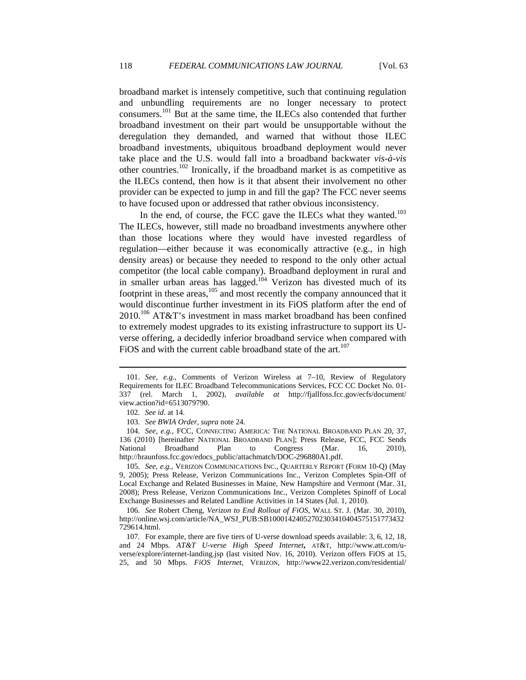broadband market is intensely competitive, such that continuing regulation and unbundling requirements are no longer necessary to protect consumers.101 But at the same time, the ILECs also contended that further broadband investment on their part would be unsupportable without the deregulation they demanded, and warned that without those ILEC broadband investments, ubiquitous broadband deployment would never take place and the U.S. would fall into a broadband backwater *vis-à-vis* other countries.102 Ironically, if the broadband market is as competitive as the ILECs contend, then how is it that absent their involvement no other provider can be expected to jump in and fill the gap? The FCC never seems to have focused upon or addressed that rather obvious inconsistency.

In the end, of course, the FCC gave the ILECs what they wanted.<sup>103</sup> The ILECs, however, still made no broadband investments anywhere other than those locations where they would have invested regardless of regulation—either because it was economically attractive (e.g., in high density areas) or because they needed to respond to the only other actual competitor (the local cable company). Broadband deployment in rural and in smaller urban areas has lagged.<sup>104</sup> Verizon has divested much of its footprint in these areas, $105$  and most recently the company announced that it would discontinue further investment in its FiOS platform after the end of  $2010^{106}$  AT&T's investment in mass market broadband has been confined to extremely modest upgrades to its existing infrastructure to support its Uverse offering, a decidedly inferior broadband service when compared with FiOS and with the current cable broadband state of the art.<sup>107</sup>

 $\overline{a}$ 

 104. *See, e.g.*, FCC, CONNECTING AMERICA: THE NATIONAL BROADBAND PLAN 20, 37, 136 (2010) [hereinafter NATIONAL BROADBAND PLAN]; Press Release, FCC, FCC Sends National Broadband Plan to Congress (Mar. 16, 2010), http://hraunfoss.fcc.gov/edocs\_public/attachmatch/DOC-296880A1.pdf.

 105. *See, e.g.*, VERIZON COMMUNICATIONS INC., QUARTERLY REPORT (FORM 10-Q) (May 9, 2005); Press Release, Verizon Communications Inc., Verizon Completes Spin-Off of Local Exchange and Related Businesses in Maine, New Hampshire and Vermont (Mar. 31, 2008); Press Release, Verizon Communications Inc., Verizon Completes Spinoff of Local Exchange Businesses and Related Landline Activities in 14 States (Jul. 1, 2010).

 106. *See* Robert Cheng, *Verizon to End Rollout of FiOS*, WALL ST. J. (Mar. 30, 2010), http://online.wsj.com/article/NA\_WSJ\_PUB:SB10001424052702303410404575151773432 729614.html.

 107. For example, there are five tiers of U-verse download speeds available: 3, 6, 12, 18, and 24 Mbps. *AT&T U-verse High Speed Internet***,** AT&T, http://www.att.com/uverse/explore/internet-landing.jsp (last visited Nov. 16, 2010). Verizon offers FiOS at 15, 25, and 50 Mbps. *FiOS Internet*, VERIZON, http://www22.verizon.com/residential/

 <sup>101.</sup> *See, e.g.*, Comments of Verizon Wireless at 7–10, Review of Regulatory Requirements for ILEC Broadband Telecommunications Services, FCC CC Docket No. 01- 337 (rel. March 1, 2002), *available at* http://fjallfoss.fcc.gov/ecfs/document/ view.action?id=6513079790.

<sup>102</sup>*. See id.* at 14.

 <sup>103.</sup> *See BWIA Order*, *supra* note 24.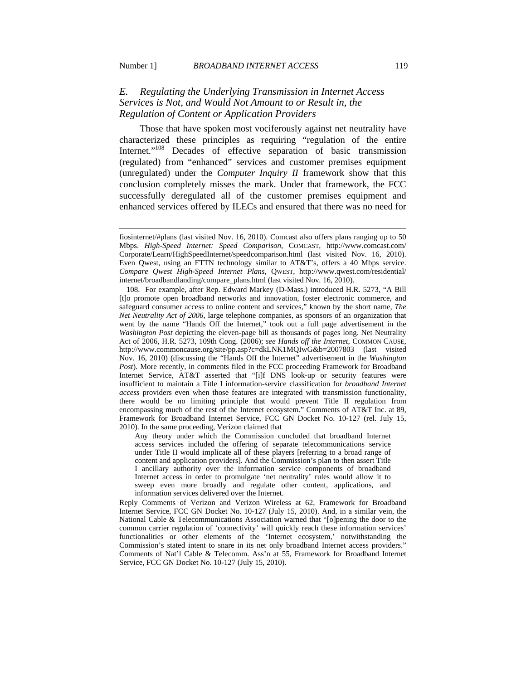## *E. Regulating the Underlying Transmission in Internet Access Services is Not, and Would Not Amount to or Result in, the Regulation of Content or Application Providers*

Those that have spoken most vociferously against net neutrality have characterized these principles as requiring "regulation of the entire Internet."<sup>108</sup> Decades of effective separation of basic transmission (regulated) from "enhanced" services and customer premises equipment (unregulated) under the *Computer Inquiry II* framework show that this conclusion completely misses the mark. Under that framework, the FCC successfully deregulated all of the customer premises equipment and enhanced services offered by ILECs and ensured that there was no need for

Any theory under which the Commission concluded that broadband Internet access services included the offering of separate telecommunications service under Title II would implicate all of these players [referring to a broad range of content and application providers]. And the Commission's plan to then assert Title I ancillary authority over the information service components of broadband Internet access in order to promulgate 'net neutrality' rules would allow it to sweep even more broadly and regulate other content, applications, and information services delivered over the Internet.

Reply Comments of Verizon and Verizon Wireless at 62, Framework for Broadband Internet Service, FCC GN Docket No. 10-127 (July 15, 2010). And, in a similar vein, the National Cable & Telecommunications Association warned that "[o]pening the door to the common carrier regulation of 'connectivity' will quickly reach these information services' functionalities or other elements of the 'Internet ecosystem,' notwithstanding the Commission's stated intent to snare in its net only broadband Internet access providers." Comments of Nat'l Cable & Telecomm. Ass'n at 55, Framework for Broadband Internet Service, FCC GN Docket No. 10-127 (July 15, 2010).

fiosinternet/#plans (last visited Nov. 16, 2010). Comcast also offers plans ranging up to 50 Mbps. *High-Speed Internet: Speed Comparison*, COMCAST, http://www.comcast.com/ Corporate/Learn/HighSpeedInternet/speedcomparison.html (last visited Nov. 16, 2010). Even Qwest, using an FTTN technology similar to AT&T's, offers a 40 Mbps service. *Compare Qwest High-Speed Internet Plans*, QWEST, http://www.qwest.com/residential/ internet/broadbandlanding/compare\_plans.html (last visited Nov. 16, 2010).

 <sup>108.</sup> For example, after Rep. Edward Markey (D-Mass.) introduced H.R. 5273, "A Bill [t]o promote open broadband networks and innovation, foster electronic commerce, and safeguard consumer access to online content and services," known by the short name, *The Net Neutrality Act of 2006*, large telephone companies, as sponsors of an organization that went by the name "Hands Off the Internet," took out a full page advertisement in the *Washington Post* depicting the eleven-page bill as thousands of pages long. Net Neutrality Act of 2006, H.R. 5273, 109th Cong. (2006); *see Hands off the Internet*, COMMON CAUSE, http://www.commoncause.org/site/pp.asp?c=dkLNK1MQIwG&b=2007803 (last visited Nov. 16, 2010) (discussing the "Hands Off the Internet" advertisement in the *Washington Post*). More recently, in comments filed in the FCC proceeding Framework for Broadband Internet Service, AT&T asserted that "[i]f DNS look-up or security features were insufficient to maintain a Title I information-service classification for *broadband Internet access* providers even when those features are integrated with transmission functionality, there would be no limiting principle that would prevent Title II regulation from encompassing much of the rest of the Internet ecosystem." Comments of AT&T Inc. at 89, Framework for Broadband Internet Service, FCC GN Docket No. 10-127 (rel. July 15, 2010). In the same proceeding, Verizon claimed that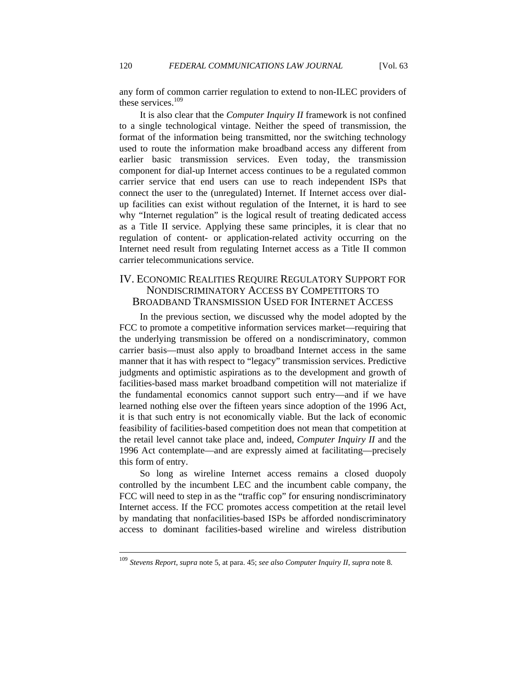any form of common carrier regulation to extend to non-ILEC providers of these services.<sup>109</sup>

It is also clear that the *Computer Inquiry II* framework is not confined to a single technological vintage. Neither the speed of transmission, the format of the information being transmitted, nor the switching technology used to route the information make broadband access any different from earlier basic transmission services. Even today, the transmission component for dial-up Internet access continues to be a regulated common carrier service that end users can use to reach independent ISPs that connect the user to the (unregulated) Internet. If Internet access over dialup facilities can exist without regulation of the Internet, it is hard to see why "Internet regulation" is the logical result of treating dedicated access as a Title II service. Applying these same principles, it is clear that no regulation of content- or application-related activity occurring on the Internet need result from regulating Internet access as a Title II common carrier telecommunications service.

## IV. ECONOMIC REALITIES REQUIRE REGULATORY SUPPORT FOR NONDISCRIMINATORY ACCESS BY COMPETITORS TO BROADBAND TRANSMISSION USED FOR INTERNET ACCESS

In the previous section, we discussed why the model adopted by the FCC to promote a competitive information services market—requiring that the underlying transmission be offered on a nondiscriminatory, common carrier basis—must also apply to broadband Internet access in the same manner that it has with respect to "legacy" transmission services. Predictive judgments and optimistic aspirations as to the development and growth of facilities-based mass market broadband competition will not materialize if the fundamental economics cannot support such entry—and if we have learned nothing else over the fifteen years since adoption of the 1996 Act, it is that such entry is not economically viable. But the lack of economic feasibility of facilities-based competition does not mean that competition at the retail level cannot take place and, indeed, *Computer Inquiry II* and the 1996 Act contemplate—and are expressly aimed at facilitating—precisely this form of entry.

So long as wireline Internet access remains a closed duopoly controlled by the incumbent LEC and the incumbent cable company, the FCC will need to step in as the "traffic cop" for ensuring nondiscriminatory Internet access. If the FCC promotes access competition at the retail level by mandating that nonfacilities-based ISPs be afforded nondiscriminatory access to dominant facilities-based wireline and wireless distribution

<sup>109</sup> *Stevens Report*, *supra* note 5, at para. 45; *see also Computer Inquiry II*, *supra* note 8.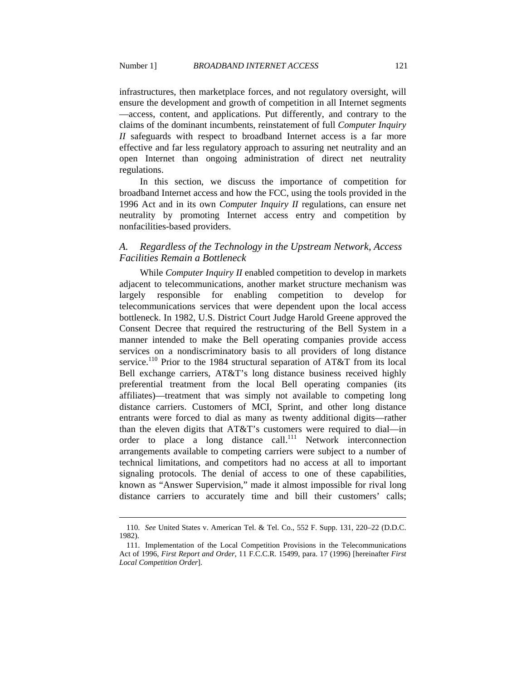infrastructures, then marketplace forces, and not regulatory oversight, will ensure the development and growth of competition in all Internet segments —access, content, and applications. Put differently, and contrary to the claims of the dominant incumbents, reinstatement of full *Computer Inquiry II* safeguards with respect to broadband Internet access is a far more effective and far less regulatory approach to assuring net neutrality and an open Internet than ongoing administration of direct net neutrality regulations.

In this section, we discuss the importance of competition for broadband Internet access and how the FCC, using the tools provided in the 1996 Act and in its own *Computer Inquiry II* regulations, can ensure net neutrality by promoting Internet access entry and competition by nonfacilities-based providers.

## *A. Regardless of the Technology in the Upstream Network, Access Facilities Remain a Bottleneck*

While *Computer Inquiry II* enabled competition to develop in markets adjacent to telecommunications, another market structure mechanism was largely responsible for enabling competition to develop for telecommunications services that were dependent upon the local access bottleneck. In 1982, U.S. District Court Judge Harold Greene approved the Consent Decree that required the restructuring of the Bell System in a manner intended to make the Bell operating companies provide access services on a nondiscriminatory basis to all providers of long distance service.<sup>110</sup> Prior to the 1984 structural separation of AT&T from its local Bell exchange carriers, AT&T's long distance business received highly preferential treatment from the local Bell operating companies (its affiliates)—treatment that was simply not available to competing long distance carriers. Customers of MCI, Sprint, and other long distance entrants were forced to dial as many as twenty additional digits—rather than the eleven digits that AT&T's customers were required to dial—in order to place a long distance call.<sup>111</sup> Network interconnection arrangements available to competing carriers were subject to a number of technical limitations, and competitors had no access at all to important signaling protocols. The denial of access to one of these capabilities, known as "Answer Supervision," made it almost impossible for rival long distance carriers to accurately time and bill their customers' calls;

 <sup>110.</sup> *See* United States v. American Tel. & Tel. Co., 552 F. Supp. 131, 220–22 (D.D.C. 1982).

 <sup>111.</sup> Implementation of the Local Competition Provisions in the Telecommunications Act of 1996, *First Report and Order*, 11 F.C.C.R. 15499, para. 17 (1996) [hereinafter *First Local Competition Order*].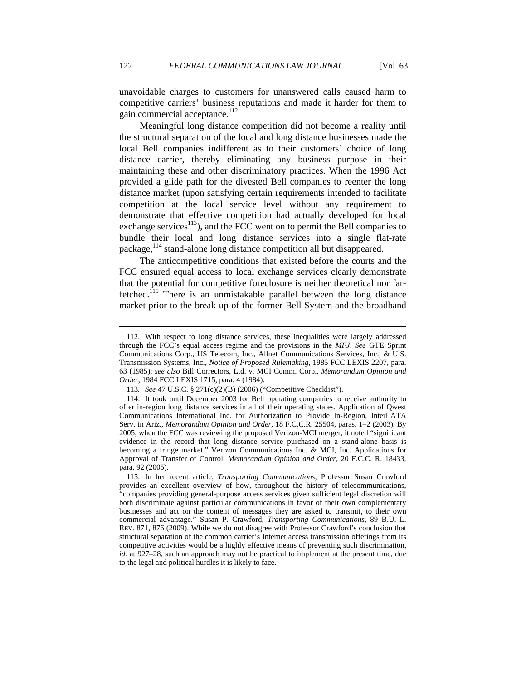unavoidable charges to customers for unanswered calls caused harm to competitive carriers' business reputations and made it harder for them to gain commercial acceptance.<sup>112</sup>

Meaningful long distance competition did not become a reality until the structural separation of the local and long distance businesses made the local Bell companies indifferent as to their customers' choice of long distance carrier, thereby eliminating any business purpose in their maintaining these and other discriminatory practices. When the 1996 Act provided a glide path for the divested Bell companies to reenter the long distance market (upon satisfying certain requirements intended to facilitate competition at the local service level without any requirement to demonstrate that effective competition had actually developed for local exchange services $^{113}$ ), and the FCC went on to permit the Bell companies to bundle their local and long distance services into a single flat-rate package,  $114$  stand-alone long distance competition all but disappeared.

The anticompetitive conditions that existed before the courts and the FCC ensured equal access to local exchange services clearly demonstrate that the potential for competitive foreclosure is neither theoretical nor farfetched.<sup>115</sup> There is an unmistakable parallel between the long distance market prior to the break-up of the former Bell System and the broadband

 <sup>112.</sup> With respect to long distance services, these inequalities were largely addressed through the FCC's equal access regime and the provisions in the *MFJ*. *See* GTE Sprint Communications Corp., US Telecom, Inc., Allnet Communications Services, Inc., & U.S. Transmission Systems, Inc., *Notice of Proposed Rulemaking*, 1985 FCC LEXIS 2207, para. 63 (1985); *see also* Bill Correctors, Ltd. v. MCI Comm. Corp., *Memorandum Opinion and Order*, 1984 FCC LEXIS 1715, para. 4 (1984).

<sup>113</sup>*. See* 47 U.S.C. § 271(c)(2)(B) (2006) ("Competitive Checklist").

 <sup>114.</sup> It took until December 2003 for Bell operating companies to receive authority to offer in-region long distance services in all of their operating states. Application of Qwest Communications International Inc. for Authorization to Provide In-Region, InterLATA Serv. in Ariz., *Memorandum Opinion and Order*, 18 F.C.C.R. 25504, paras. 1–2 (2003)*.* By 2005, when the FCC was reviewing the proposed Verizon-MCI merger, it noted "significant evidence in the record that long distance service purchased on a stand-alone basis is becoming a fringe market." Verizon Communications Inc. & MCI, Inc. Applications for Approval of Transfer of Control, *Memorandum Opinion and Order*, 20 F.C.C. R. 18433, para. 92 (2005).

 <sup>115.</sup> In her recent article, *Transporting Communications*, Professor Susan Crawford provides an excellent overview of how, throughout the history of telecommunications, "companies providing general-purpose access services given sufficient legal discretion will both discriminate against particular communications in favor of their own complementary businesses and act on the content of messages they are asked to transmit, to their own commercial advantage." Susan P. Crawford, *Transporting Communications*, 89 B.U. L. REV. 871, 876 (2009). While we do not disagree with Professor Crawford's conclusion that structural separation of the common carrier's Internet access transmission offerings from its competitive activities would be a highly effective means of preventing such discrimination, *id.* at 927–28, such an approach may not be practical to implement at the present time, due to the legal and political hurdles it is likely to face.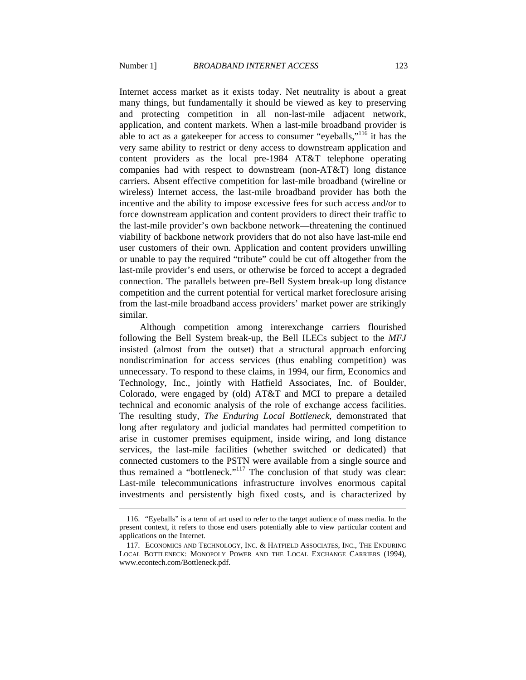Internet access market as it exists today. Net neutrality is about a great many things, but fundamentally it should be viewed as key to preserving and protecting competition in all non-last-mile adjacent network, application, and content markets. When a last-mile broadband provider is able to act as a gatekeeper for access to consumer "eyeballs,"<sup>116</sup> it has the very same ability to restrict or deny access to downstream application and content providers as the local pre-1984 AT&T telephone operating companies had with respect to downstream (non-AT&T) long distance carriers. Absent effective competition for last-mile broadband (wireline or wireless) Internet access, the last-mile broadband provider has both the incentive and the ability to impose excessive fees for such access and/or to force downstream application and content providers to direct their traffic to the last-mile provider's own backbone network—threatening the continued viability of backbone network providers that do not also have last-mile end user customers of their own. Application and content providers unwilling or unable to pay the required "tribute" could be cut off altogether from the last-mile provider's end users, or otherwise be forced to accept a degraded connection. The parallels between pre-Bell System break-up long distance competition and the current potential for vertical market foreclosure arising from the last-mile broadband access providers' market power are strikingly similar.

Although competition among interexchange carriers flourished following the Bell System break-up, the Bell ILECs subject to the *MFJ* insisted (almost from the outset) that a structural approach enforcing nondiscrimination for access services (thus enabling competition) was unnecessary. To respond to these claims, in 1994, our firm, Economics and Technology, Inc., jointly with Hatfield Associates, Inc. of Boulder, Colorado, were engaged by (old) AT&T and MCI to prepare a detailed technical and economic analysis of the role of exchange access facilities. The resulting study, *The Enduring Local Bottleneck*, demonstrated that long after regulatory and judicial mandates had permitted competition to arise in customer premises equipment, inside wiring, and long distance services, the last-mile facilities (whether switched or dedicated) that connected customers to the PSTN were available from a single source and thus remained a "bottleneck."117 The conclusion of that study was clear: Last-mile telecommunications infrastructure involves enormous capital investments and persistently high fixed costs, and is characterized by

 <sup>116. &</sup>quot;Eyeballs" is a term of art used to refer to the target audience of mass media. In the present context, it refers to those end users potentially able to view particular content and applications on the Internet.

 <sup>117.</sup> ECONOMICS AND TECHNOLOGY, INC. & HATFIELD ASSOCIATES, INC., THE ENDURING LOCAL BOTTLENECK: MONOPOLY POWER AND THE LOCAL EXCHANGE CARRIERS (1994), www.econtech.com/Bottleneck.pdf.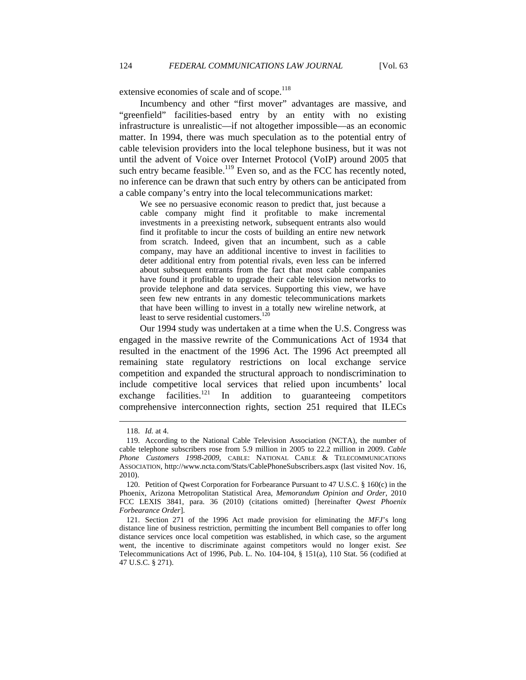extensive economies of scale and of scope.<sup>118</sup>

Incumbency and other "first mover" advantages are massive, and "greenfield" facilities-based entry by an entity with no existing infrastructure is unrealistic—if not altogether impossible—as an economic matter. In 1994, there was much speculation as to the potential entry of cable television providers into the local telephone business, but it was not until the advent of Voice over Internet Protocol (VoIP) around 2005 that such entry became feasible.<sup>119</sup> Even so, and as the FCC has recently noted, no inference can be drawn that such entry by others can be anticipated from a cable company's entry into the local telecommunications market:

We see no persuasive economic reason to predict that, just because a cable company might find it profitable to make incremental investments in a preexisting network, subsequent entrants also would find it profitable to incur the costs of building an entire new network from scratch. Indeed, given that an incumbent, such as a cable company, may have an additional incentive to invest in facilities to deter additional entry from potential rivals, even less can be inferred about subsequent entrants from the fact that most cable companies have found it profitable to upgrade their cable television networks to provide telephone and data services. Supporting this view, we have seen few new entrants in any domestic telecommunications markets that have been willing to invest in a totally new wireline network, at least to serve residential customers.<sup>120</sup>

Our 1994 study was undertaken at a time when the U.S. Congress was engaged in the massive rewrite of the Communications Act of 1934 that resulted in the enactment of the 1996 Act. The 1996 Act preempted all remaining state regulatory restrictions on local exchange service competition and expanded the structural approach to nondiscrimination to include competitive local services that relied upon incumbents' local exchange facilities.<sup>121</sup> In addition to guaranteeing competitors comprehensive interconnection rights, section 251 required that ILECs

 <sup>118.</sup> *Id.* at 4.

 <sup>119.</sup> According to the National Cable Television Association (NCTA), the number of cable telephone subscribers rose from 5.9 million in 2005 to 22.2 million in 2009. *Cable Phone Customers 1998-2009*, CABLE: NATIONAL CABLE & TELECOMMUNICATIONS ASSOCIATION, http://www.ncta.com/Stats/CablePhoneSubscribers.aspx (last visited Nov. 16, 2010).

 <sup>120.</sup> Petition of Qwest Corporation for Forbearance Pursuant to 47 U.S.C. § 160(c) in the Phoenix, Arizona Metropolitan Statistical Area, *Memorandum Opinion and Order*, 2010 FCC LEXIS 3841, para. 36 (2010) (citations omitted) [hereinafter *Qwest Phoenix Forbearance Order*].

 <sup>121.</sup> Section 271 of the 1996 Act made provision for eliminating the *MFJ*'s long distance line of business restriction, permitting the incumbent Bell companies to offer long distance services once local competition was established, in which case, so the argument went, the incentive to discriminate against competitors would no longer exist. *See* Telecommunications Act of 1996, Pub. L. No. 104-104, § 151(a), 110 Stat. 56 (codified at 47 U.S.C. § 271).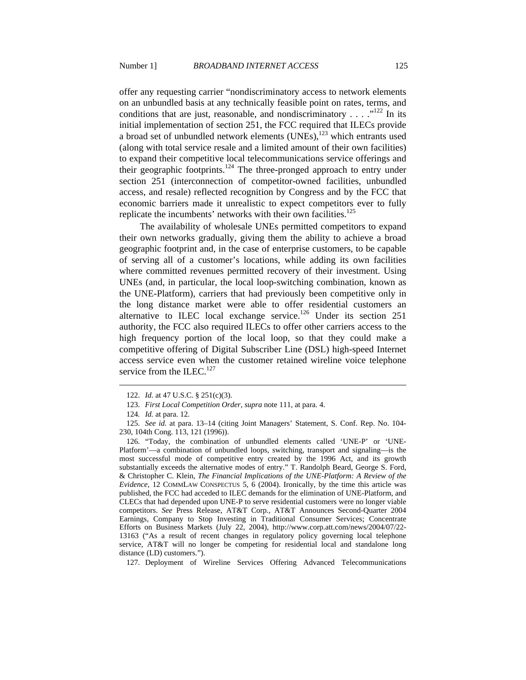offer any requesting carrier "nondiscriminatory access to network elements on an unbundled basis at any technically feasible point on rates, terms, and conditions that are just, reasonable, and nondiscriminatory . . . .  $\cdot$ <sup>122</sup> In its initial implementation of section 251, the FCC required that ILECs provide a broad set of unbundled network elements  $(UNEs)$ ,<sup>123</sup> which entrants used (along with total service resale and a limited amount of their own facilities) to expand their competitive local telecommunications service offerings and their geographic footprints.<sup>124</sup> The three-pronged approach to entry under section 251 (interconnection of competitor-owned facilities, unbundled access, and resale) reflected recognition by Congress and by the FCC that economic barriers made it unrealistic to expect competitors ever to fully replicate the incumbents' networks with their own facilities.<sup>125</sup>

The availability of wholesale UNEs permitted competitors to expand their own networks gradually, giving them the ability to achieve a broad geographic footprint and, in the case of enterprise customers, to be capable of serving all of a customer's locations, while adding its own facilities where committed revenues permitted recovery of their investment. Using UNEs (and, in particular, the local loop-switching combination, known as the UNE-Platform), carriers that had previously been competitive only in the long distance market were able to offer residential customers an alternative to ILEC local exchange service.<sup>126</sup> Under its section  $251$ authority, the FCC also required ILECs to offer other carriers access to the high frequency portion of the local loop, so that they could make a competitive offering of Digital Subscriber Line (DSL) high-speed Internet access service even when the customer retained wireline voice telephone service from the ILEC. $^{127}$ 

 $\overline{a}$ 

127. Deployment of Wireline Services Offering Advanced Telecommunications

 <sup>122.</sup> *Id.* at 47 U.S.C. § 251(c)(3).

 <sup>123.</sup> *First Local Competition Order*, *supra* note 111, at para. 4.

<sup>124</sup>*. Id.* at para. 12.

 <sup>125.</sup> *See id.* at para. 13–14 (citing Joint Managers' Statement, S. Conf. Rep. No. 104- 230, 104th Cong. 113, 121 (1996)).

 <sup>126. &</sup>quot;Today, the combination of unbundled elements called 'UNE-P' or 'UNE-Platform'—a combination of unbundled loops, switching, transport and signaling—is the most successful mode of competitive entry created by the 1996 Act, and its growth substantially exceeds the alternative modes of entry." T. Randolph Beard, George S. Ford, & Christopher C. Klein, *The Financial Implications of the UNE-Platform: A Review of the Evidence*, 12 COMMLAW CONSPECTUS 5, 6 (2004). Ironically, by the time this article was published, the FCC had acceded to ILEC demands for the elimination of UNE-Platform, and CLECs that had depended upon UNE-P to serve residential customers were no longer viable competitors. *See* Press Release, AT&T Corp*.*, AT&T Announces Second-Quarter 2004 Earnings, Company to Stop Investing in Traditional Consumer Services; Concentrate Efforts on Business Markets (July 22, 2004), http://www.corp.att.com/news/2004/07/22- 13163 ("As a result of recent changes in regulatory policy governing local telephone service, AT&T will no longer be competing for residential local and standalone long distance (LD) customers.").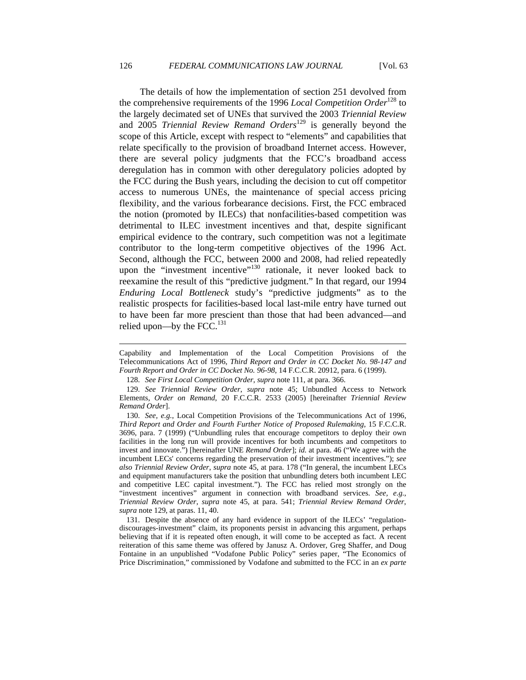The details of how the implementation of section 251 devolved from the comprehensive requirements of the 1996 *Local Competition Order*<sup>128</sup> to the largely decimated set of UNEs that survived the 2003 *Triennial Review* and 2005 *Triennial Review Remand Orders*129 is generally beyond the scope of this Article, except with respect to "elements" and capabilities that relate specifically to the provision of broadband Internet access. However, there are several policy judgments that the FCC's broadband access deregulation has in common with other deregulatory policies adopted by the FCC during the Bush years, including the decision to cut off competitor access to numerous UNEs, the maintenance of special access pricing flexibility, and the various forbearance decisions. First, the FCC embraced the notion (promoted by ILECs) that nonfacilities-based competition was detrimental to ILEC investment incentives and that, despite significant empirical evidence to the contrary, such competition was not a legitimate contributor to the long-term competitive objectives of the 1996 Act. Second, although the FCC, between 2000 and 2008, had relied repeatedly upon the "investment incentive"<sup>130</sup> rationale, it never looked back to reexamine the result of this "predictive judgment." In that regard, our 1994 *Enduring Local Bottleneck* study's "predictive judgments" as to the realistic prospects for facilities-based local last-mile entry have turned out to have been far more prescient than those that had been advanced—and relied upon—by the FCC. $^{131}$ 

Capability and Implementation of the Local Competition Provisions of the Telecommunications Act of 1996, *Third Report and Order in CC Docket No. 98-147 and Fourth Report and Order in CC Docket No. 96-98*, 14 F.C.C.R. 20912, para. 6 (1999).

 <sup>128.</sup> *See First Local Competition Order*, *supra* note 111, at para. 366.

 <sup>129.</sup> *See Triennial Review Order*, *supra* note 45; Unbundled Access to Network Elements, *Order on Remand*, 20 F.C.C.R. 2533 (2005) [hereinafter *Triennial Review Remand Order*].

 <sup>130.</sup> *See, e.g.*, Local Competition Provisions of the Telecommunications Act of 1996, *Third Report and Order and Fourth Further Notice of Proposed Rulemaking*, 15 F.C.C.R. 3696, para. 7 (1999) ("Unbundling rules that encourage competitors to deploy their own facilities in the long run will provide incentives for both incumbents and competitors to invest and innovate.") [hereinafter UNE *Remand Order*]; *id.* at para. 46 ("We agree with the incumbent LECs' concerns regarding the preservation of their investment incentives."); *see also Triennial Review Order*, *supra* note 45, at para. 178 ("In general, the incumbent LECs and equipment manufacturers take the position that unbundling deters both incumbent LEC and competitive LEC capital investment."). The FCC has relied most strongly on the "investment incentives" argument in connection with broadband services. *See, e.g.*, *Triennial Review Order*, *supra* note 45, at para. 541; *Triennial Review Remand Order*, *supra* note 129, at paras. 11, 40.

 <sup>131.</sup> Despite the absence of any hard evidence in support of the ILECs' "regulationdiscourages-investment" claim, its proponents persist in advancing this argument, perhaps believing that if it is repeated often enough, it will come to be accepted as fact. A recent reiteration of this same theme was offered by Janusz A. Ordover, Greg Shaffer, and Doug Fontaine in an unpublished "Vodafone Public Policy" series paper, "The Economics of Price Discrimination," commissioned by Vodafone and submitted to the FCC in an *ex parte*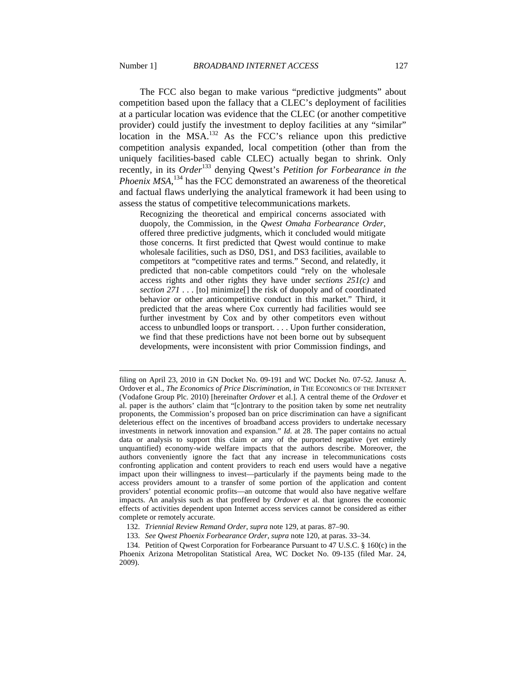The FCC also began to make various "predictive judgments" about competition based upon the fallacy that a CLEC's deployment of facilities at a particular location was evidence that the CLEC (or another competitive provider) could justify the investment to deploy facilities at any "similar" location in the MSA.132 As the FCC's reliance upon this predictive competition analysis expanded, local competition (other than from the uniquely facilities-based cable CLEC) actually began to shrink. Only recently, in its *Order*<sup>133</sup> denying Qwest's *Petition for Forbearance in the* Phoenix MSA,<sup>134</sup> has the FCC demonstrated an awareness of the theoretical and factual flaws underlying the analytical framework it had been using to assess the status of competitive telecommunications markets.

Recognizing the theoretical and empirical concerns associated with duopoly, the Commission, in the *Qwest Omaha Forbearance Order*, offered three predictive judgments, which it concluded would mitigate those concerns. It first predicted that Qwest would continue to make wholesale facilities, such as DS0, DS1, and DS3 facilities, available to competitors at "competitive rates and terms." Second, and relatedly, it predicted that non-cable competitors could "rely on the wholesale access rights and other rights they have under *sections 251(c)* and *section 271* . . . [to] minimize[] the risk of duopoly and of coordinated behavior or other anticompetitive conduct in this market." Third, it predicted that the areas where Cox currently had facilities would see further investment by Cox and by other competitors even without access to unbundled loops or transport. . . . Upon further consideration, we find that these predictions have not been borne out by subsequent developments, were inconsistent with prior Commission findings, and

filing on April 23, 2010 in GN Docket No. 09-191 and WC Docket No. 07-52. Janusz A. Ordover et al., *The Economics of Price Discrimination*, *in* THE ECONOMICS OF THE INTERNET (Vodafone Group Plc. 2010) [hereinafter *Ordover* et al.]. A central theme of the *Ordover* et al. paper is the authors' claim that "[c]ontrary to the position taken by some net neutrality proponents, the Commission's proposed ban on price discrimination can have a significant deleterious effect on the incentives of broadband access providers to undertake necessary investments in network innovation and expansion." *Id.* at 28. The paper contains no actual data or analysis to support this claim or any of the purported negative (yet entirely unquantified) economy-wide welfare impacts that the authors describe. Moreover, the authors conveniently ignore the fact that any increase in telecommunications costs confronting application and content providers to reach end users would have a negative impact upon their willingness to invest—particularly if the payments being made to the access providers amount to a transfer of some portion of the application and content providers' potential economic profits—an outcome that would also have negative welfare impacts. An analysis such as that proffered by *Ordover* et al. that ignores the economic effects of activities dependent upon Internet access services cannot be considered as either complete or remotely accurate.

 <sup>132.</sup> *Triennial Review Remand Order*, *supra* note 129, at paras. 87–90.

 <sup>133.</sup> *See Qwest Phoenix Forbearance Order*, *supra* note 120, at paras. 33–34.

 <sup>134.</sup> Petition of Qwest Corporation for Forbearance Pursuant to 47 U.S.C. § 160(c) in the Phoenix Arizona Metropolitan Statistical Area, WC Docket No. 09-135 (filed Mar. 24, 2009).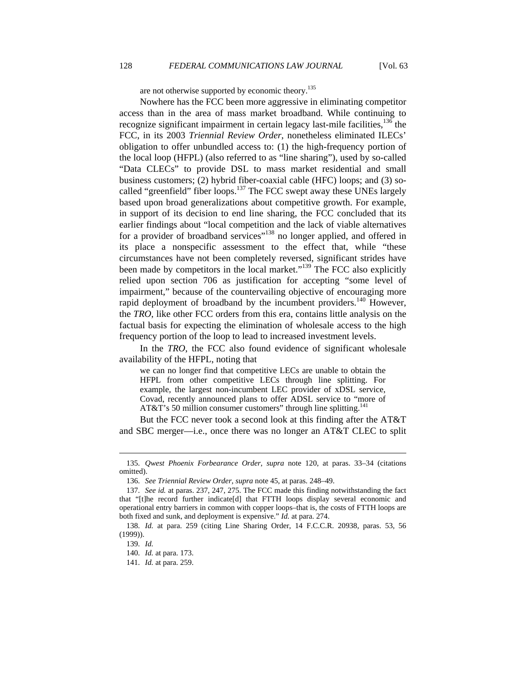are not otherwise supported by economic theory.<sup>135</sup>

Nowhere has the FCC been more aggressive in eliminating competitor access than in the area of mass market broadband. While continuing to recognize significant impairment in certain legacy last-mile facilities,  $136$  the FCC, in its 2003 *Triennial Review Order*, nonetheless eliminated ILECs' obligation to offer unbundled access to: (1) the high-frequency portion of the local loop (HFPL) (also referred to as "line sharing"), used by so-called "Data CLECs" to provide DSL to mass market residential and small business customers; (2) hybrid fiber-coaxial cable (HFC) loops; and (3) socalled "greenfield" fiber loops.<sup>137</sup> The FCC swept away these UNEs largely based upon broad generalizations about competitive growth. For example, in support of its decision to end line sharing, the FCC concluded that its earlier findings about "local competition and the lack of viable alternatives for a provider of broadband services"<sup>138</sup> no longer applied, and offered in its place a nonspecific assessment to the effect that, while "these circumstances have not been completely reversed, significant strides have been made by competitors in the local market."<sup>139</sup> The FCC also explicitly relied upon section 706 as justification for accepting "some level of impairment," because of the countervailing objective of encouraging more rapid deployment of broadband by the incumbent providers.<sup>140</sup> However, the *TRO*, like other FCC orders from this era, contains little analysis on the factual basis for expecting the elimination of wholesale access to the high frequency portion of the loop to lead to increased investment levels.

In the *TRO*, the FCC also found evidence of significant wholesale availability of the HFPL, noting that

we can no longer find that competitive LECs are unable to obtain the HFPL from other competitive LECs through line splitting. For example, the largest non-incumbent LEC provider of xDSL service, Covad, recently announced plans to offer ADSL service to "more of AT&T's 50 million consumer customers" through line splitting.<sup>141</sup>

But the FCC never took a second look at this finding after the AT&T and SBC merger—i.e., once there was no longer an AT&T CLEC to split

 <sup>135.</sup> *Qwest Phoenix Forbearance Order*, *supra* note 120, at paras. 33–34 (citations omitted).

 <sup>136.</sup> *See Triennial Review Order*, *supra* note 45, at paras. 248–49.

 <sup>137.</sup> *See id.* at paras. 237, 247, 275. The FCC made this finding notwithstanding the fact that "[t]he record further indicate[d] that FTTH loops display several economic and operational entry barriers in common with copper loops–that is, the costs of FTTH loops are both fixed and sunk, and deployment is expensive." *Id.* at para. 274.

 <sup>138.</sup> *Id.* at para. 259 (citing Line Sharing Order, 14 F.C.C.R. 20938, paras. 53, 56 (1999)).

 <sup>139.</sup> *Id.*

 <sup>140.</sup> *Id.* at para. 173.

 <sup>141.</sup> *Id.* at para. 259.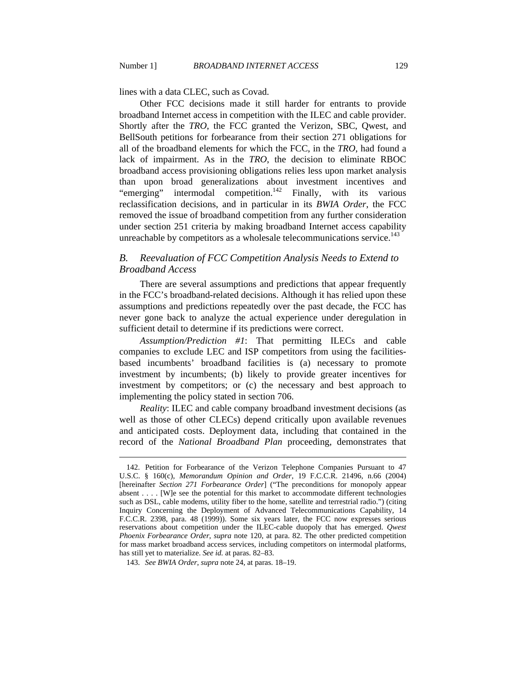lines with a data CLEC, such as Covad.

Other FCC decisions made it still harder for entrants to provide broadband Internet access in competition with the ILEC and cable provider. Shortly after the *TRO*, the FCC granted the Verizon, SBC, Qwest, and BellSouth petitions for forbearance from their section 271 obligations for all of the broadband elements for which the FCC, in the *TRO*, had found a lack of impairment. As in the *TRO*, the decision to eliminate RBOC broadband access provisioning obligations relies less upon market analysis than upon broad generalizations about investment incentives and "emerging" intermodal competition.<sup>142</sup> Finally, with its various reclassification decisions, and in particular in its *BWIA Order*, the FCC removed the issue of broadband competition from any further consideration under section 251 criteria by making broadband Internet access capability unreachable by competitors as a wholesale telecommunications service.<sup>143</sup>

## *B. Reevaluation of FCC Competition Analysis Needs to Extend to Broadband Access*

There are several assumptions and predictions that appear frequently in the FCC's broadband-related decisions. Although it has relied upon these assumptions and predictions repeatedly over the past decade, the FCC has never gone back to analyze the actual experience under deregulation in sufficient detail to determine if its predictions were correct.

*Assumption/Prediction #1*: That permitting ILECs and cable companies to exclude LEC and ISP competitors from using the facilitiesbased incumbents' broadband facilities is (a) necessary to promote investment by incumbents; (b) likely to provide greater incentives for investment by competitors; or (c) the necessary and best approach to implementing the policy stated in section 706.

*Reality*: ILEC and cable company broadband investment decisions (as well as those of other CLECs) depend critically upon available revenues and anticipated costs. Deployment data, including that contained in the record of the *National Broadband Plan* proceeding, demonstrates that

 <sup>142.</sup> Petition for Forbearance of the Verizon Telephone Companies Pursuant to 47 U.S.C. § 160(c), *Memorandum Opinion and Order*, 19 F.C.C.R. 21496, n.66 (2004) [hereinafter *Section 271 Forbearance Order*] ("The preconditions for monopoly appear absent . . . . [W]e see the potential for this market to accommodate different technologies such as DSL, cable modems, utility fiber to the home, satellite and terrestrial radio.") (citing Inquiry Concerning the Deployment of Advanced Telecommunications Capability, 14 F.C.C.R. 2398, para. 48 (1999)). Some six years later, the FCC now expresses serious reservations about competition under the ILEC-cable duopoly that has emerged. *Qwest Phoenix Forbearance Order*, *supra* note 120, at para. 82. The other predicted competition for mass market broadband access services, including competitors on intermodal platforms, has still yet to materialize. *See id.* at paras. 82–83.

 <sup>143.</sup> *See BWIA Order*, *supra* note 24, at paras. 18–19.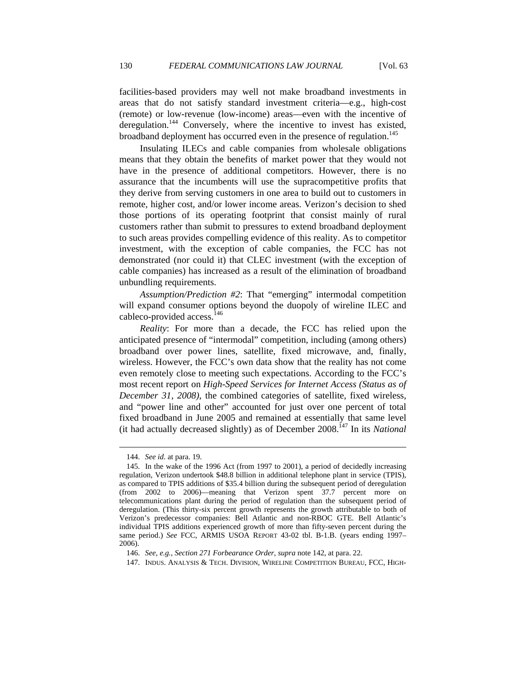facilities-based providers may well not make broadband investments in areas that do not satisfy standard investment criteria—e.g., high-cost (remote) or low-revenue (low-income) areas—even with the incentive of deregulation.<sup>144</sup> Conversely, where the incentive to invest has existed, broadband deployment has occurred even in the presence of regulation.<sup>145</sup>

Insulating ILECs and cable companies from wholesale obligations means that they obtain the benefits of market power that they would not have in the presence of additional competitors. However, there is no assurance that the incumbents will use the supracompetitive profits that they derive from serving customers in one area to build out to customers in remote, higher cost, and/or lower income areas. Verizon's decision to shed those portions of its operating footprint that consist mainly of rural customers rather than submit to pressures to extend broadband deployment to such areas provides compelling evidence of this reality. As to competitor investment, with the exception of cable companies, the FCC has not demonstrated (nor could it) that CLEC investment (with the exception of cable companies) has increased as a result of the elimination of broadband unbundling requirements.

*Assumption/Prediction #2*: That "emerging" intermodal competition will expand consumer options beyond the duopoly of wireline ILEC and cableco-provided access. $146$ 

*Reality*: For more than a decade, the FCC has relied upon the anticipated presence of "intermodal" competition, including (among others) broadband over power lines, satellite, fixed microwave, and, finally, wireless. However, the FCC's own data show that the reality has not come even remotely close to meeting such expectations. According to the FCC's most recent report on *High-Speed Services for Internet Access (Status as of December 31, 2008)*, the combined categories of satellite, fixed wireless, and "power line and other" accounted for just over one percent of total fixed broadband in June 2005 and remained at essentially that same level (it had actually decreased slightly) as of December  $2008$ <sup>147</sup> In its *National* 

 <sup>144.</sup> *See id*. at para. 19.

 <sup>145.</sup> In the wake of the 1996 Act (from 1997 to 2001), a period of decidedly increasing regulation, Verizon undertook \$48.8 billion in additional telephone plant in service (TPIS), as compared to TPIS additions of \$35.4 billion during the subsequent period of deregulation (from 2002 to 2006)—meaning that Verizon spent 37.7 percent more on telecommunications plant during the period of regulation than the subsequent period of deregulation. (This thirty-six percent growth represents the growth attributable to both of Verizon's predecessor companies: Bell Atlantic and non-RBOC GTE. Bell Atlantic's individual TPIS additions experienced growth of more than fifty-seven percent during the same period.) *See* FCC, ARMIS USOA REPORT 43-02 tbl. B-1.B. (years ending 1997– 2006).

 <sup>146.</sup> *See, e.g.*, *Section 271 Forbearance Order*, *supra* note 142, at para. 22.

 <sup>147.</sup> INDUS. ANALYSIS & TECH. DIVISION, WIRELINE COMPETITION BUREAU, FCC, HIGH-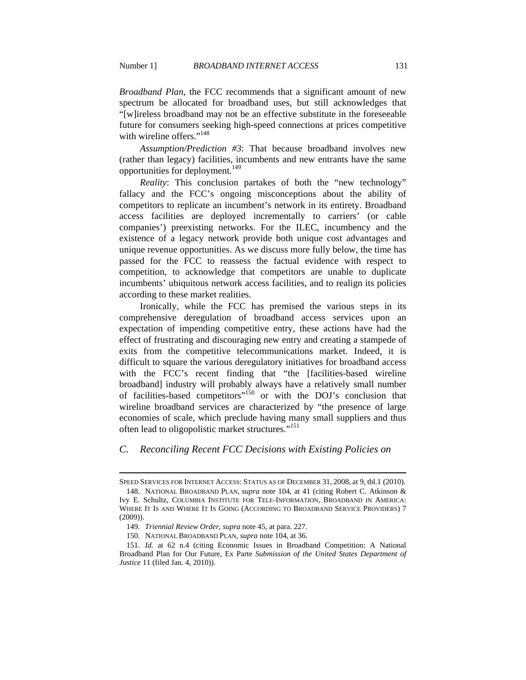*Broadband Plan*, the FCC recommends that a significant amount of new spectrum be allocated for broadband uses, but still acknowledges that "[w]ireless broadband may not be an effective substitute in the foreseeable future for consumers seeking high-speed connections at prices competitive with wireline offers."<sup>148</sup>

*Assumption/Prediction #3*: That because broadband involves new (rather than legacy) facilities, incumbents and new entrants have the same opportunities for deployment*.* 149

*Reality*: This conclusion partakes of both the "new technology" fallacy and the FCC's ongoing misconceptions about the ability of competitors to replicate an incumbent's network in its entirety. Broadband access facilities are deployed incrementally to carriers' (or cable companies') preexisting networks. For the ILEC, incumbency and the existence of a legacy network provide both unique cost advantages and unique revenue opportunities. As we discuss more fully below, the time has passed for the FCC to reassess the factual evidence with respect to competition, to acknowledge that competitors are unable to duplicate incumbents' ubiquitous network access facilities, and to realign its policies according to these market realities.

Ironically, while the FCC has premised the various steps in its comprehensive deregulation of broadband access services upon an expectation of impending competitive entry, these actions have had the effect of frustrating and discouraging new entry and creating a stampede of exits from the competitive telecommunications market. Indeed, it is difficult to square the various deregulatory initiatives for broadband access with the FCC's recent finding that "the [facilities-based wireline broadband] industry will probably always have a relatively small number of facilities-based competitors<sup>"150</sup> or with the DOJ's conclusion that wireline broadband services are characterized by "the presence of large economies of scale, which preclude having many small suppliers and thus often lead to oligopolistic market structures."<sup>151</sup>

#### *C. Reconciling Recent FCC Decisions with Existing Policies on*

SPEED SERVICES FOR INTERNET ACCESS: STATUS AS OF DECEMBER 31, 2008, at 9, tbl.1 (2010).

 <sup>148.</sup> NATIONAL BROADBAND PLAN, *supra* note 104, at 41 (citing Robert C. Atkinson & Ivy E. Schultz, COLUMBIA INSTITUTE FOR TELE-INFORMATION, BROADBAND IN AMERICA: WHERE IT IS AND WHERE IT IS GOING (ACCORDING TO BROADBAND SERVICE PROVIDERS) 7 (2009)).

 <sup>149.</sup> *Triennial Review Order*, *supra* note 45, at para. 227.

 <sup>150.</sup> NATIONAL BROADBAND PLAN, *supra* note 104, at 36.

 <sup>151.</sup> *Id.* at 62 n.4 (citing Economic Issues in Broadband Competition: A National Broadband Plan for Our Future, Ex Parte *Submission of the United States Department of Justice* 11 (filed Jan. 4, 2010)).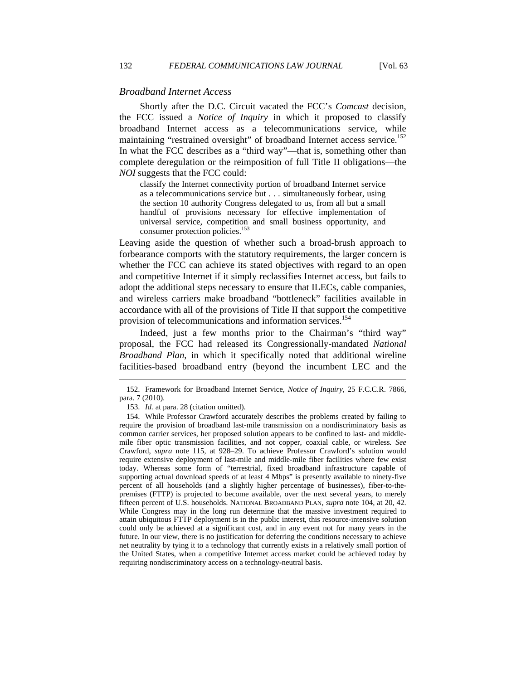#### *Broadband Internet Access*

Shortly after the D.C. Circuit vacated the FCC's *Comcast* decision, the FCC issued a *Notice of Inquiry* in which it proposed to classify broadband Internet access as a telecommunications service, while maintaining "restrained oversight" of broadband Internet access service.<sup>152</sup> In what the FCC describes as a "third way"—that is, something other than complete deregulation or the reimposition of full Title II obligations—the *NOI* suggests that the FCC could:

classify the Internet connectivity portion of broadband Internet service as a telecommunications service but . . . simultaneously forbear, using the section 10 authority Congress delegated to us, from all but a small handful of provisions necessary for effective implementation of universal service, competition and small business opportunity, and consumer protection policies.<sup>153</sup>

Leaving aside the question of whether such a broad-brush approach to forbearance comports with the statutory requirements, the larger concern is whether the FCC can achieve its stated objectives with regard to an open and competitive Internet if it simply reclassifies Internet access, but fails to adopt the additional steps necessary to ensure that ILECs, cable companies, and wireless carriers make broadband "bottleneck" facilities available in accordance with all of the provisions of Title II that support the competitive provision of telecommunications and information services.<sup>154</sup>

Indeed, just a few months prior to the Chairman's "third way" proposal, the FCC had released its Congressionally-mandated *National Broadband Plan*, in which it specifically noted that additional wireline facilities-based broadband entry (beyond the incumbent LEC and the

 <sup>152.</sup> Framework for Broadband Internet Service, *Notice of Inquiry*, 25 F.C.C.R. 7866, para. 7 (2010).

 <sup>153.</sup> *Id.* at para. 28 (citation omitted).

 <sup>154.</sup> While Professor Crawford accurately describes the problems created by failing to require the provision of broadband last-mile transmission on a nondiscriminatory basis as common carrier services, her proposed solution appears to be confined to last- and middlemile fiber optic transmission facilities, and not copper, coaxial cable, or wireless*. See* Crawford, *supra* note 115, at 928–29. To achieve Professor Crawford's solution would require extensive deployment of last-mile and middle-mile fiber facilities where few exist today. Whereas some form of "terrestrial, fixed broadband infrastructure capable of supporting actual download speeds of at least 4 Mbps" is presently available to ninety-five percent of all households (and a slightly higher percentage of businesses), fiber-to-thepremises (FTTP) is projected to become available, over the next several years, to merely fifteen percent of U.S. households. NATIONAL BROADBAND PLAN, *supra* note 104, at 20, 42. While Congress may in the long run determine that the massive investment required to attain ubiquitous FTTP deployment is in the public interest, this resource-intensive solution could only be achieved at a significant cost, and in any event not for many years in the future. In our view, there is no justification for deferring the conditions necessary to achieve net neutrality by tying it to a technology that currently exists in a relatively small portion of the United States, when a competitive Internet access market could be achieved today by requiring nondiscriminatory access on a technology-neutral basis.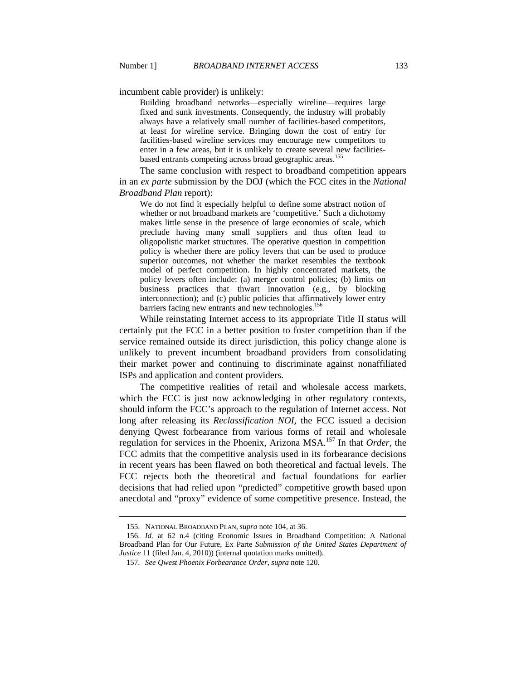incumbent cable provider) is unlikely:

Building broadband networks—especially wireline—requires large fixed and sunk investments. Consequently, the industry will probably always have a relatively small number of facilities-based competitors, at least for wireline service. Bringing down the cost of entry for facilities-based wireline services may encourage new competitors to enter in a few areas, but it is unlikely to create several new facilitiesbased entrants competing across broad geographic areas.<sup>155</sup>

The same conclusion with respect to broadband competition appears in an *ex parte* submission by the DOJ (which the FCC cites in the *National Broadband Plan* report):

We do not find it especially helpful to define some abstract notion of whether or not broadband markets are 'competitive.' Such a dichotomy makes little sense in the presence of large economies of scale, which preclude having many small suppliers and thus often lead to oligopolistic market structures. The operative question in competition policy is whether there are policy levers that can be used to produce superior outcomes, not whether the market resembles the textbook model of perfect competition. In highly concentrated markets, the policy levers often include: (a) merger control policies; (b) limits on business practices that thwart innovation (e.g., by blocking interconnection); and (c) public policies that affirmatively lower entry barriers facing new entrants and new technologies.<sup>156</sup>

While reinstating Internet access to its appropriate Title II status will certainly put the FCC in a better position to foster competition than if the service remained outside its direct jurisdiction, this policy change alone is unlikely to prevent incumbent broadband providers from consolidating their market power and continuing to discriminate against nonaffiliated ISPs and application and content providers.

The competitive realities of retail and wholesale access markets, which the FCC is just now acknowledging in other regulatory contexts, should inform the FCC's approach to the regulation of Internet access. Not long after releasing its *Reclassification NOI*, the FCC issued a decision denying Qwest forbearance from various forms of retail and wholesale regulation for services in the Phoenix, Arizona MSA.157 In that *Order*, the FCC admits that the competitive analysis used in its forbearance decisions in recent years has been flawed on both theoretical and factual levels. The FCC rejects both the theoretical and factual foundations for earlier decisions that had relied upon "predicted" competitive growth based upon anecdotal and "proxy" evidence of some competitive presence. Instead, the

 <sup>155.</sup> NATIONAL BROADBAND PLAN, *supra* note 104, at 36.

 <sup>156.</sup> *Id.* at 62 n.4 (citing Economic Issues in Broadband Competition: A National Broadband Plan for Our Future, Ex Parte *Submission of the United States Department of Justice* 11 (filed Jan. 4, 2010)) (internal quotation marks omitted).

 <sup>157.</sup> *See Qwest Phoenix Forbearance Order*, *supra* note 120.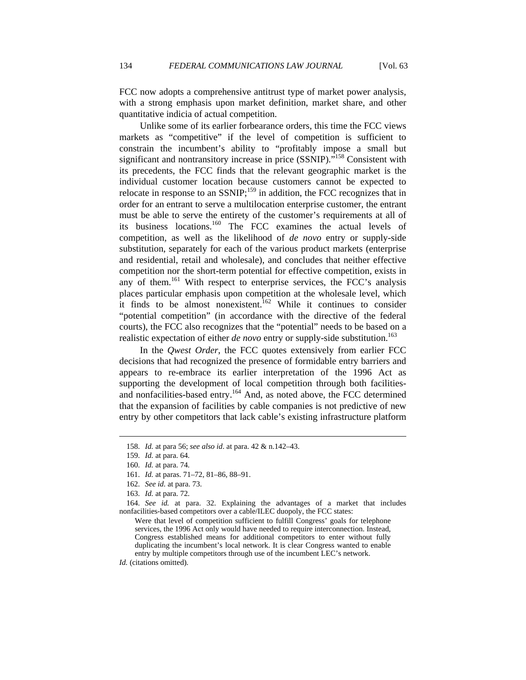FCC now adopts a comprehensive antitrust type of market power analysis, with a strong emphasis upon market definition, market share, and other quantitative indicia of actual competition.

Unlike some of its earlier forbearance orders, this time the FCC views markets as "competitive" if the level of competition is sufficient to constrain the incumbent's ability to "profitably impose a small but significant and nontransitory increase in price (SSNIP)."<sup>158</sup> Consistent with its precedents, the FCC finds that the relevant geographic market is the individual customer location because customers cannot be expected to relocate in response to an  $SSNIP$ ; <sup>159</sup> in addition, the FCC recognizes that in order for an entrant to serve a multilocation enterprise customer, the entrant must be able to serve the entirety of the customer's requirements at all of its business locations.160 The FCC examines the actual levels of competition, as well as the likelihood of *de novo* entry or supply-side substitution, separately for each of the various product markets (enterprise and residential, retail and wholesale), and concludes that neither effective competition nor the short-term potential for effective competition, exists in any of them.<sup>161</sup> With respect to enterprise services, the FCC's analysis places particular emphasis upon competition at the wholesale level, which it finds to be almost nonexistent.<sup>162</sup> While it continues to consider "potential competition" (in accordance with the directive of the federal courts), the FCC also recognizes that the "potential" needs to be based on a realistic expectation of either *de novo* entry or supply-side substitution.<sup>163</sup>

In the *Qwest Order*, the FCC quotes extensively from earlier FCC decisions that had recognized the presence of formidable entry barriers and appears to re-embrace its earlier interpretation of the 1996 Act as supporting the development of local competition through both facilitiesand nonfacilities-based entry.<sup>164</sup> And, as noted above, the FCC determined that the expansion of facilities by cable companies is not predictive of new entry by other competitors that lack cable's existing infrastructure platform

 <sup>158.</sup> *Id.* at para 56; *see also id*. at para. 42 & n.142–43.

 <sup>159.</sup> *Id.* at para. 64.

 <sup>160.</sup> *Id.* at para. 74.

 <sup>161.</sup> *Id.* at paras. 71–72, 81–86, 88–91.

 <sup>162.</sup> *See id.* at para. 73.

 <sup>163.</sup> *Id.* at para. 72.

 <sup>164.</sup> *See id.* at para. 32. Explaining the advantages of a market that includes nonfacilities-based competitors over a cable/ILEC duopoly, the FCC states:

Were that level of competition sufficient to fulfill Congress' goals for telephone services, the 1996 Act only would have needed to require interconnection. Instead, Congress established means for additional competitors to enter without fully duplicating the incumbent's local network. It is clear Congress wanted to enable entry by multiple competitors through use of the incumbent LEC's network.

*Id.* (citations omitted).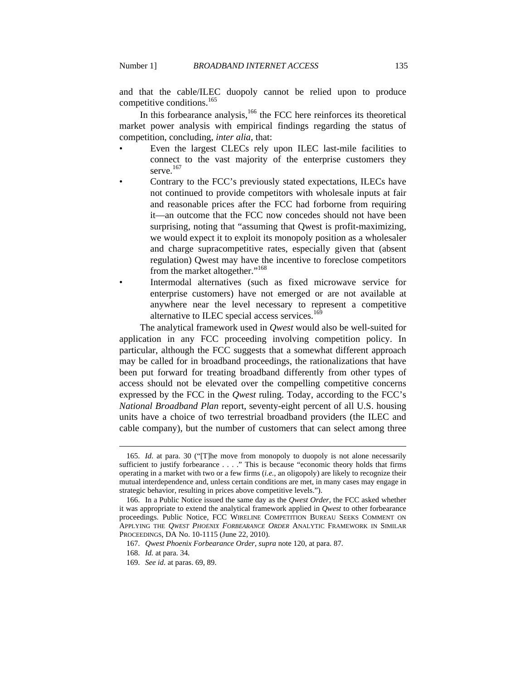and that the cable/ILEC duopoly cannot be relied upon to produce competitive conditions.165

In this forbearance analysis, $166$  the FCC here reinforces its theoretical market power analysis with empirical findings regarding the status of competition, concluding, *inter alia*, that:

- Even the largest CLECs rely upon ILEC last-mile facilities to connect to the vast majority of the enterprise customers they serve.<sup>167</sup>
- Contrary to the FCC's previously stated expectations, ILECs have not continued to provide competitors with wholesale inputs at fair and reasonable prices after the FCC had forborne from requiring it—an outcome that the FCC now concedes should not have been surprising, noting that "assuming that Qwest is profit-maximizing, we would expect it to exploit its monopoly position as a wholesaler and charge supracompetitive rates, especially given that (absent regulation) Qwest may have the incentive to foreclose competitors from the market altogether."<sup>168</sup>
	- Intermodal alternatives (such as fixed microwave service for enterprise customers) have not emerged or are not available at anywhere near the level necessary to represent a competitive alternative to ILEC special access services. $169$

The analytical framework used in *Qwest* would also be well-suited for application in any FCC proceeding involving competition policy. In particular, although the FCC suggests that a somewhat different approach may be called for in broadband proceedings, the rationalizations that have been put forward for treating broadband differently from other types of access should not be elevated over the compelling competitive concerns expressed by the FCC in the *Qwest* ruling. Today, according to the FCC's *National Broadband Plan* report, seventy-eight percent of all U.S. housing units have a choice of two terrestrial broadband providers (the ILEC and cable company), but the number of customers that can select among three

 <sup>165.</sup> *Id.* at para. 30 ("[T]he move from monopoly to duopoly is not alone necessarily sufficient to justify forbearance . . . ." This is because "economic theory holds that firms operating in a market with two or a few firms (*i.e.*, an oligopoly) are likely to recognize their mutual interdependence and, unless certain conditions are met, in many cases may engage in strategic behavior, resulting in prices above competitive levels.").

 <sup>166.</sup> In a Public Notice issued the same day as the *Qwest Order*, the FCC asked whether it was appropriate to extend the analytical framework applied in *Qwest* to other forbearance proceedings. Public Notice, FCC WIRELINE COMPETITION BUREAU SEEKS COMMENT ON APPLYING THE *QWEST PHOENIX FORBEARANCE ORDER* ANALYTIC FRAMEWORK IN SIMILAR PROCEEDINGS, DA No. 10-1115 (June 22, 2010).

 <sup>167.</sup> *Qwest Phoenix Forbearance Order*, *supra* note 120, at para. 87.

 <sup>168.</sup> *Id.* at para. 34.

 <sup>169.</sup> *See id.* at paras. 69, 89.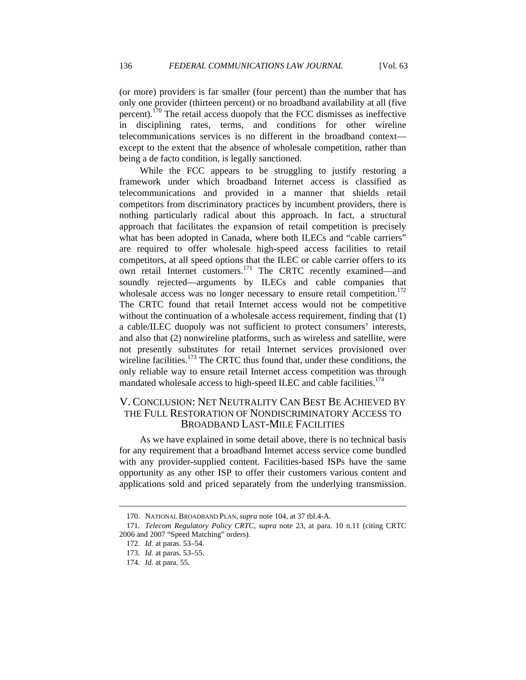(or more) providers is far smaller (four percent) than the number that has only one provider (thirteen percent) or no broadband availability at all (five percent).<sup>170</sup> The retail access duopoly that the FCC dismisses as ineffective in disciplining rates, terms, and conditions for other wireline telecommunications services is no different in the broadband context except to the extent that the absence of wholesale competition, rather than being a de facto condition, is legally sanctioned.

While the FCC appears to be struggling to justify restoring a framework under which broadband Internet access is classified as telecommunications and provided in a manner that shields retail competitors from discriminatory practices by incumbent providers, there is nothing particularly radical about this approach. In fact, a structural approach that facilitates the expansion of retail competition is precisely what has been adopted in Canada, where both ILECs and "cable carriers" are required to offer wholesale high-speed access facilities to retail competitors, at all speed options that the ILEC or cable carrier offers to its own retail Internet customers.<sup>171</sup> The CRTC recently examined—and soundly rejected—arguments by ILECs and cable companies that wholesale access was no longer necessary to ensure retail competition.<sup>172</sup> The CRTC found that retail Internet access would not be competitive without the continuation of a wholesale access requirement, finding that  $(1)$ a cable/ILEC duopoly was not sufficient to protect consumers' interests, and also that (2) nonwireline platforms, such as wireless and satellite, were not presently substitutes for retail Internet services provisioned over wireline facilities.<sup>173</sup> The CRTC thus found that, under these conditions, the only reliable way to ensure retail Internet access competition was through mandated wholesale access to high-speed ILEC and cable facilities.<sup>174</sup>

## V. CONCLUSION: NET NEUTRALITY CAN BEST BE ACHIEVED BY THE FULL RESTORATION OF NONDISCRIMINATORY ACCESS TO BROADBAND LAST-MILE FACILITIES

As we have explained in some detail above, there is no technical basis for any requirement that a broadband Internet access service come bundled with any provider-supplied content. Facilities-based ISPs have the same opportunity as any other ISP to offer their customers various content and applications sold and priced separately from the underlying transmission.

 <sup>170.</sup> NATIONAL BROADBAND PLAN, *supra* note 104, at 37 tbl.4-A.

<sup>171</sup>*. Telecom Regulatory Policy CRTC*, *supra* note 23, at para. 10 n.11 (citing CRTC 2006 and 2007 "Speed Matching" orders).

 <sup>172.</sup> *Id.* at paras. 53–54.

 <sup>173.</sup> *Id.* at paras. 53–55.

 <sup>174.</sup> *Id*. at para. 55.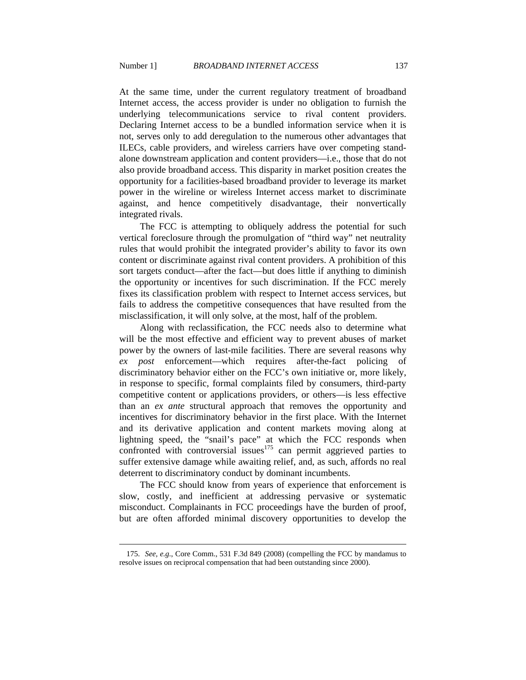At the same time, under the current regulatory treatment of broadband Internet access, the access provider is under no obligation to furnish the underlying telecommunications service to rival content providers. Declaring Internet access to be a bundled information service when it is not, serves only to add deregulation to the numerous other advantages that ILECs, cable providers, and wireless carriers have over competing standalone downstream application and content providers—i.e., those that do not also provide broadband access. This disparity in market position creates the opportunity for a facilities-based broadband provider to leverage its market power in the wireline or wireless Internet access market to discriminate against, and hence competitively disadvantage, their nonvertically integrated rivals.

The FCC is attempting to obliquely address the potential for such vertical foreclosure through the promulgation of "third way" net neutrality rules that would prohibit the integrated provider's ability to favor its own content or discriminate against rival content providers. A prohibition of this sort targets conduct—after the fact—but does little if anything to diminish the opportunity or incentives for such discrimination. If the FCC merely fixes its classification problem with respect to Internet access services, but fails to address the competitive consequences that have resulted from the misclassification, it will only solve, at the most, half of the problem.

Along with reclassification, the FCC needs also to determine what will be the most effective and efficient way to prevent abuses of market power by the owners of last-mile facilities. There are several reasons why *ex post* enforcement—which requires after-the-fact policing of discriminatory behavior either on the FCC's own initiative or, more likely, in response to specific, formal complaints filed by consumers, third-party competitive content or applications providers, or others—is less effective than an *ex ante* structural approach that removes the opportunity and incentives for discriminatory behavior in the first place. With the Internet and its derivative application and content markets moving along at lightning speed, the "snail's pace" at which the FCC responds when confronted with controversial issues $175$  can permit aggrieved parties to suffer extensive damage while awaiting relief, and, as such, affords no real deterrent to discriminatory conduct by dominant incumbents.

The FCC should know from years of experience that enforcement is slow, costly, and inefficient at addressing pervasive or systematic misconduct. Complainants in FCC proceedings have the burden of proof, but are often afforded minimal discovery opportunities to develop the

 <sup>175.</sup> *See, e.g.*, Core Comm., 531 F.3d 849 (2008) (compelling the FCC by mandamus to resolve issues on reciprocal compensation that had been outstanding since 2000).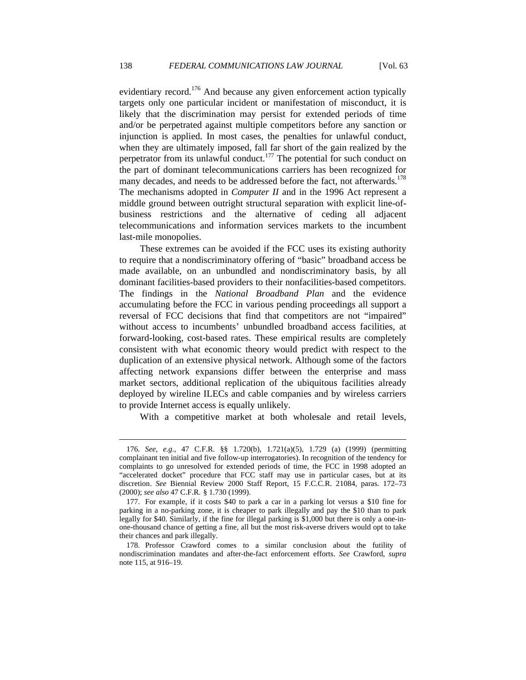evidentiary record.<sup>176</sup> And because any given enforcement action typically targets only one particular incident or manifestation of misconduct, it is likely that the discrimination may persist for extended periods of time and/or be perpetrated against multiple competitors before any sanction or injunction is applied. In most cases, the penalties for unlawful conduct, when they are ultimately imposed, fall far short of the gain realized by the perpetrator from its unlawful conduct.177 The potential for such conduct on the part of dominant telecommunications carriers has been recognized for many decades, and needs to be addressed before the fact, not afterwards.<sup>178</sup> The mechanisms adopted in *Computer II* and in the 1996 Act represent a middle ground between outright structural separation with explicit line-ofbusiness restrictions and the alternative of ceding all adjacent telecommunications and information services markets to the incumbent last-mile monopolies.

These extremes can be avoided if the FCC uses its existing authority to require that a nondiscriminatory offering of "basic" broadband access be made available, on an unbundled and nondiscriminatory basis, by all dominant facilities-based providers to their nonfacilities-based competitors. The findings in the *National Broadband Plan* and the evidence accumulating before the FCC in various pending proceedings all support a reversal of FCC decisions that find that competitors are not "impaired" without access to incumbents' unbundled broadband access facilities, at forward-looking, cost-based rates. These empirical results are completely consistent with what economic theory would predict with respect to the duplication of an extensive physical network. Although some of the factors affecting network expansions differ between the enterprise and mass market sectors, additional replication of the ubiquitous facilities already deployed by wireline ILECs and cable companies and by wireless carriers to provide Internet access is equally unlikely.

With a competitive market at both wholesale and retail levels,

 <sup>176.</sup> *See, e.g.*, 47 C.F.R. §§ 1.720(b), 1.721(a)(5), 1.729 (a) (1999) (permitting complainant ten initial and five follow-up interrogatories). In recognition of the tendency for complaints to go unresolved for extended periods of time, the FCC in 1998 adopted an "accelerated docket" procedure that FCC staff may use in particular cases, but at its discretion. *See* Biennial Review 2000 Staff Report, 15 F.C.C.R. 21084, paras. 172–73 (2000); *see also* 47 C.F.R. § 1.730 (1999).

 <sup>177.</sup> For example, if it costs \$40 to park a car in a parking lot versus a \$10 fine for parking in a no-parking zone, it is cheaper to park illegally and pay the \$10 than to park legally for \$40. Similarly, if the fine for illegal parking is \$1,000 but there is only a one-inone-thousand chance of getting a fine, all but the most risk-averse drivers would opt to take their chances and park illegally.

 <sup>178.</sup> Professor Crawford comes to a similar conclusion about the futility of nondiscrimination mandates and after-the-fact enforcement efforts. *See* Crawford, *supra*  note 115, at 916–19.